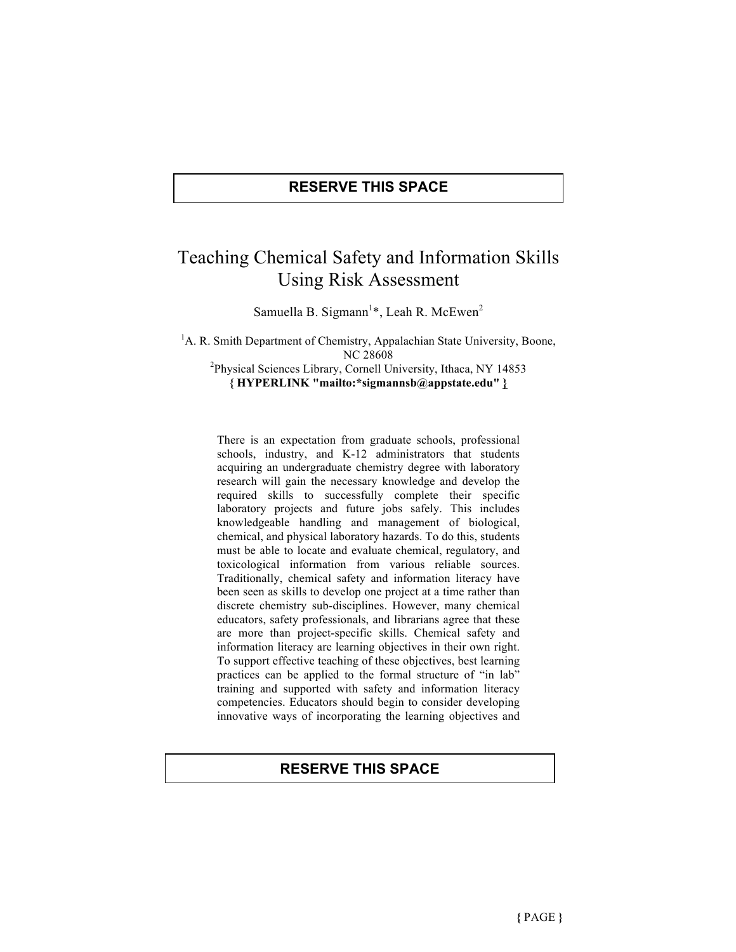## **RESERVE THIS SPACE**

# Teaching Chemical Safety and Information Skills Using Risk Assessment

Samuella B. Sigmann<sup>1\*</sup>, Leah R. McEwen<sup>2</sup>

<sup>1</sup>A. R. Smith Department of Chemistry, Appalachian State University, Boone, NC 28608<br><sup>2</sup>Physical Sciences Library, Cornell University, Ithaca, NY 14853<sup>2</sup> **{ HYPERLINK "mailto:\*sigmannsb@appstate.edu" }**

There is an expectation from graduate schools, professional schools, industry, and K-12 administrators that students acquiring an undergraduate chemistry degree with laboratory research will gain the necessary knowledge and develop the required skills to successfully complete their specific laboratory projects and future jobs safely. This includes knowledgeable handling and management of biological, chemical, and physical laboratory hazards. To do this, students must be able to locate and evaluate chemical, regulatory, and toxicological information from various reliable sources. Traditionally, chemical safety and information literacy have been seen as skills to develop one project at a time rather than discrete chemistry sub-disciplines. However, many chemical educators, safety professionals, and librarians agree that these are more than project-specific skills. Chemical safety and information literacy are learning objectives in their own right. To support effective teaching of these objectives, best learning practices can be applied to the formal structure of "in lab" training and supported with safety and information literacy competencies. Educators should begin to consider developing innovative ways of incorporating the learning objectives and

## **RESERVE THIS SPACE**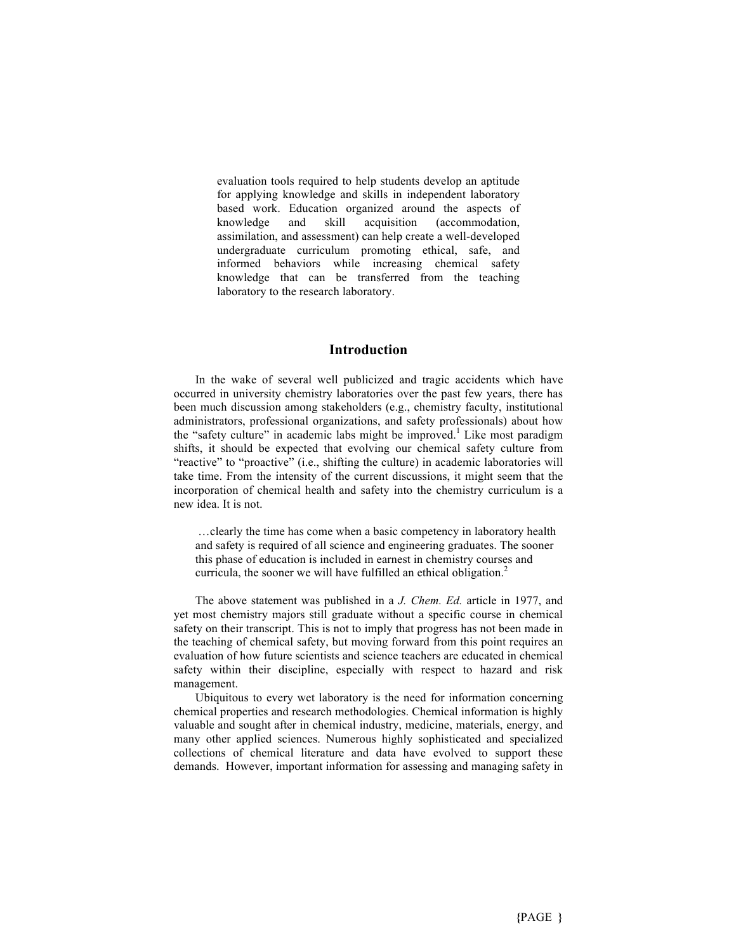evaluation tools required to help students develop an aptitude for applying knowledge and skills in independent laboratory based work. Education organized around the aspects of knowledge and skill acquisition (accommodation, assimilation, and assessment) can help create a well-developed undergraduate curriculum promoting ethical, safe, and informed behaviors while increasing chemical safety knowledge that can be transferred from the teaching laboratory to the research laboratory.

#### **Introduction**

In the wake of several well publicized and tragic accidents which have occurred in university chemistry laboratories over the past few years, there has been much discussion among stakeholders (e.g., chemistry faculty, institutional administrators, professional organizations, and safety professionals) about how the "safety culture" in academic labs might be improved.<sup>1</sup> Like most paradigm shifts, it should be expected that evolving our chemical safety culture from "reactive" to "proactive" (i.e., shifting the culture) in academic laboratories will take time. From the intensity of the current discussions, it might seem that the incorporation of chemical health and safety into the chemistry curriculum is a new idea. It is not.

…clearly the time has come when a basic competency in laboratory health and safety is required of all science and engineering graduates. The sooner this phase of education is included in earnest in chemistry courses and curricula, the sooner we will have fulfilled an ethical obligation.<sup>2</sup>

The above statement was published in a *J. Chem. Ed.* article in 1977, and yet most chemistry majors still graduate without a specific course in chemical safety on their transcript. This is not to imply that progress has not been made in the teaching of chemical safety, but moving forward from this point requires an evaluation of how future scientists and science teachers are educated in chemical safety within their discipline, especially with respect to hazard and risk management.

Ubiquitous to every wet laboratory is the need for information concerning chemical properties and research methodologies. Chemical information is highly valuable and sought after in chemical industry, medicine, materials, energy, and many other applied sciences. Numerous highly sophisticated and specialized collections of chemical literature and data have evolved to support these demands. However, important information for assessing and managing safety in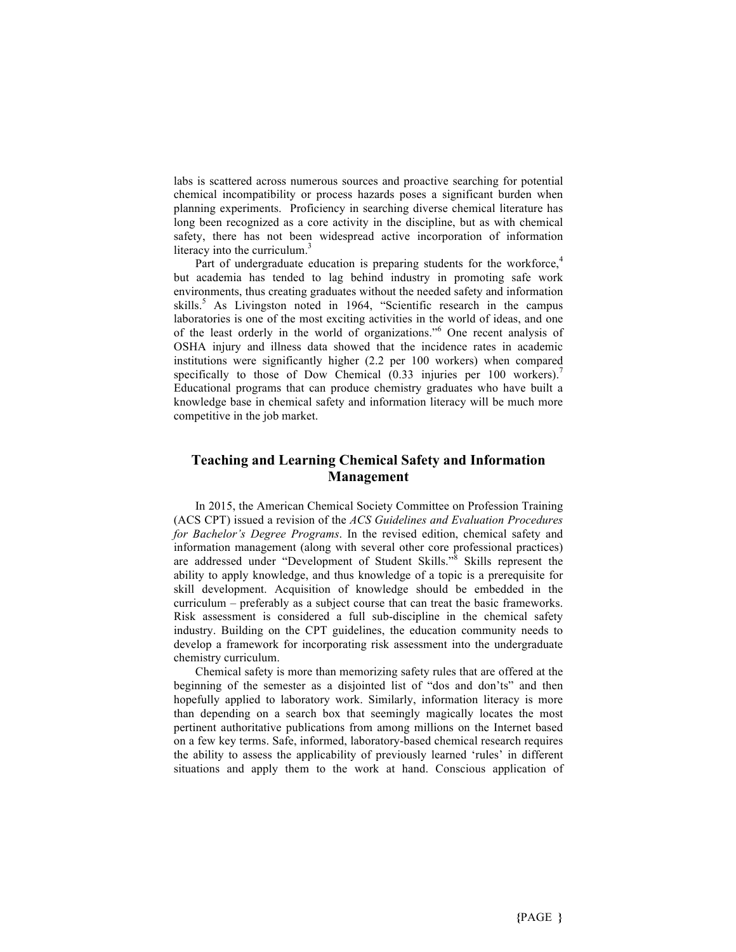labs is scattered across numerous sources and proactive searching for potential chemical incompatibility or process hazards poses a significant burden when planning experiments. Proficiency in searching diverse chemical literature has long been recognized as a core activity in the discipline, but as with chemical safety, there has not been widespread active incorporation of information literacy into the curriculum. $3$ 

Part of undergraduate education is preparing students for the workforce, $4\overline{4}$ but academia has tended to lag behind industry in promoting safe work environments, thus creating graduates without the needed safety and information skills.<sup>5</sup> As Livingston noted in 1964, "Scientific research in the campus laboratories is one of the most exciting activities in the world of ideas, and one of the least orderly in the world of organizations."<sup>6</sup> One recent analysis of OSHA injury and illness data showed that the incidence rates in academic institutions were significantly higher (2.2 per 100 workers) when compared specifically to those of Dow Chemical  $(0.33)$  injuries per 100 workers). Educational programs that can produce chemistry graduates who have built a knowledge base in chemical safety and information literacy will be much more competitive in the job market.

## **Teaching and Learning Chemical Safety and Information Management**

In 2015, the American Chemical Society Committee on Profession Training (ACS CPT) issued a revision of the *ACS Guidelines and Evaluation Procedures for Bachelor's Degree Programs*. In the revised edition, chemical safety and information management (along with several other core professional practices) are addressed under "Development of Student Skills."<sup>8</sup> Skills represent the ability to apply knowledge, and thus knowledge of a topic is a prerequisite for skill development. Acquisition of knowledge should be embedded in the curriculum – preferably as a subject course that can treat the basic frameworks. Risk assessment is considered a full sub-discipline in the chemical safety industry. Building on the CPT guidelines, the education community needs to develop a framework for incorporating risk assessment into the undergraduate chemistry curriculum.

Chemical safety is more than memorizing safety rules that are offered at the beginning of the semester as a disjointed list of "dos and don'ts" and then hopefully applied to laboratory work. Similarly, information literacy is more than depending on a search box that seemingly magically locates the most pertinent authoritative publications from among millions on the Internet based on a few key terms. Safe, informed, laboratory-based chemical research requires the ability to assess the applicability of previously learned 'rules' in different situations and apply them to the work at hand. Conscious application of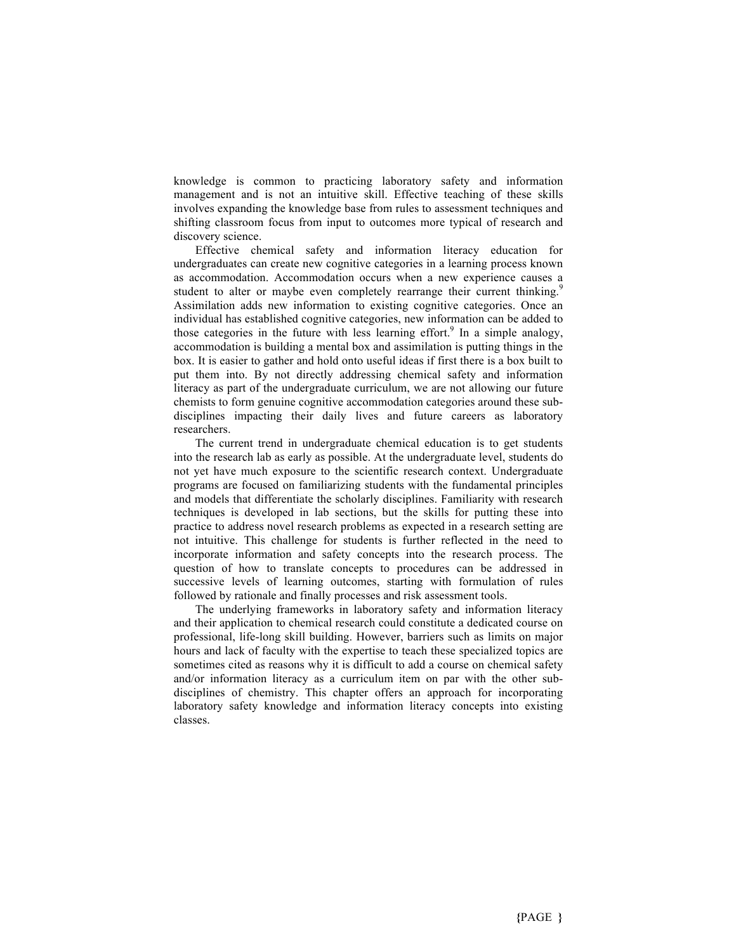knowledge is common to practicing laboratory safety and information management and is not an intuitive skill. Effective teaching of these skills involves expanding the knowledge base from rules to assessment techniques and shifting classroom focus from input to outcomes more typical of research and discovery science.

Effective chemical safety and information literacy education for undergraduates can create new cognitive categories in a learning process known as accommodation. Accommodation occurs when a new experience causes a student to alter or maybe even completely rearrange their current thinking.<sup>9</sup> Assimilation adds new information to existing cognitive categories. Once an individual has established cognitive categories, new information can be added to those categories in the future with less learning effort. $9$  In a simple analogy, accommodation is building a mental box and assimilation is putting things in the box. It is easier to gather and hold onto useful ideas if first there is a box built to put them into. By not directly addressing chemical safety and information literacy as part of the undergraduate curriculum, we are not allowing our future chemists to form genuine cognitive accommodation categories around these subdisciplines impacting their daily lives and future careers as laboratory researchers.

The current trend in undergraduate chemical education is to get students into the research lab as early as possible. At the undergraduate level, students do not yet have much exposure to the scientific research context. Undergraduate programs are focused on familiarizing students with the fundamental principles and models that differentiate the scholarly disciplines. Familiarity with research techniques is developed in lab sections, but the skills for putting these into practice to address novel research problems as expected in a research setting are not intuitive. This challenge for students is further reflected in the need to incorporate information and safety concepts into the research process. The question of how to translate concepts to procedures can be addressed in successive levels of learning outcomes, starting with formulation of rules followed by rationale and finally processes and risk assessment tools.

The underlying frameworks in laboratory safety and information literacy and their application to chemical research could constitute a dedicated course on professional, life-long skill building. However, barriers such as limits on major hours and lack of faculty with the expertise to teach these specialized topics are sometimes cited as reasons why it is difficult to add a course on chemical safety and/or information literacy as a curriculum item on par with the other subdisciplines of chemistry. This chapter offers an approach for incorporating laboratory safety knowledge and information literacy concepts into existing classes.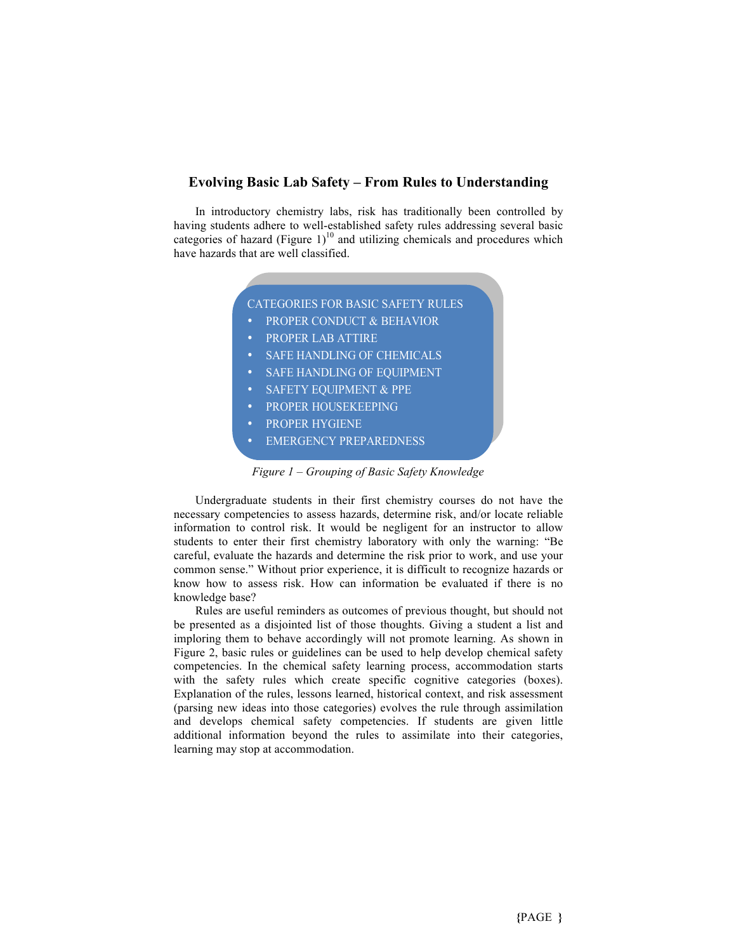### **Evolving Basic Lab Safety – From Rules to Understanding**

In introductory chemistry labs, risk has traditionally been controlled by having students adhere to well-established safety rules addressing several basic categories of hazard (Figure  $1$ )<sup>10</sup> and utilizing chemicals and procedures which have hazards that are well classified.



*Figure 1 – Grouping of Basic Safety Knowledge*

Undergraduate students in their first chemistry courses do not have the necessary competencies to assess hazards, determine risk, and/or locate reliable information to control risk. It would be negligent for an instructor to allow students to enter their first chemistry laboratory with only the warning: "Be careful, evaluate the hazards and determine the risk prior to work, and use your common sense." Without prior experience, it is difficult to recognize hazards or know how to assess risk. How can information be evaluated if there is no knowledge base?

Rules are useful reminders as outcomes of previous thought, but should not be presented as a disjointed list of those thoughts. Giving a student a list and imploring them to behave accordingly will not promote learning. As shown in Figure 2, basic rules or guidelines can be used to help develop chemical safety competencies. In the chemical safety learning process, accommodation starts with the safety rules which create specific cognitive categories (boxes). Explanation of the rules, lessons learned, historical context, and risk assessment (parsing new ideas into those categories) evolves the rule through assimilation and develops chemical safety competencies. If students are given little additional information beyond the rules to assimilate into their categories, learning may stop at accommodation.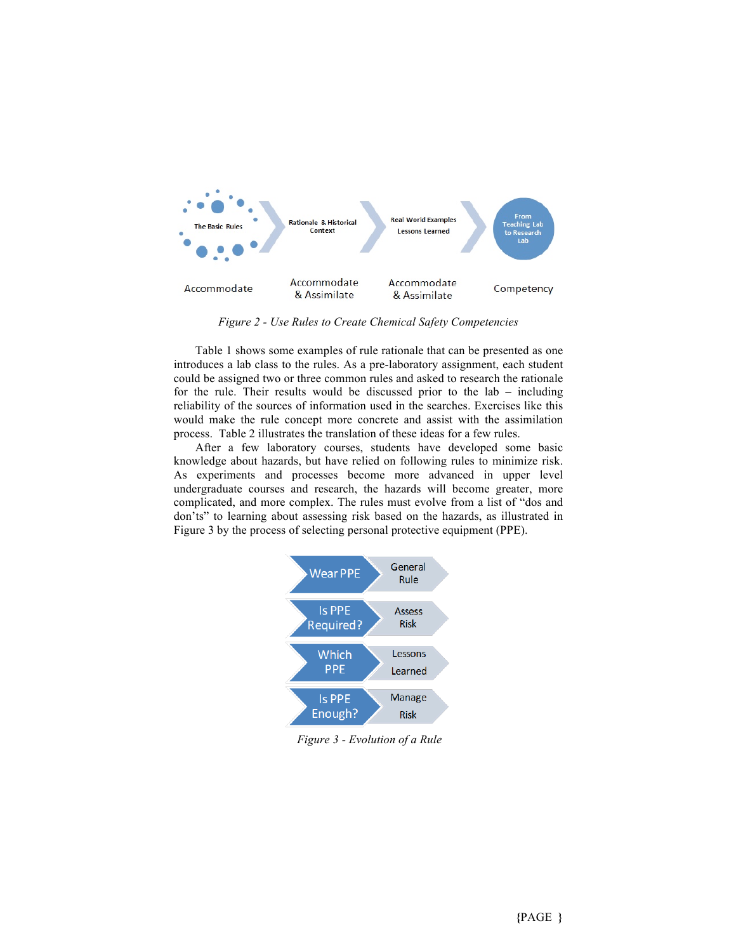

*Figure 2 - Use Rules to Create Chemical Safety Competencies*

Table 1 shows some examples of rule rationale that can be presented as one introduces a lab class to the rules. As a pre-laboratory assignment, each student could be assigned two or three common rules and asked to research the rationale for the rule. Their results would be discussed prior to the lab – including reliability of the sources of information used in the searches. Exercises like this would make the rule concept more concrete and assist with the assimilation process. Table 2 illustrates the translation of these ideas for a few rules.

After a few laboratory courses, students have developed some basic knowledge about hazards, but have relied on following rules to minimize risk. As experiments and processes become more advanced in upper level undergraduate courses and research, the hazards will become greater, more complicated, and more complex. The rules must evolve from a list of "dos and don'ts" to learning about assessing risk based on the hazards, as illustrated in Figure 3 by the process of selecting personal protective equipment (PPE).



*Figure 3 - Evolution of a Rule*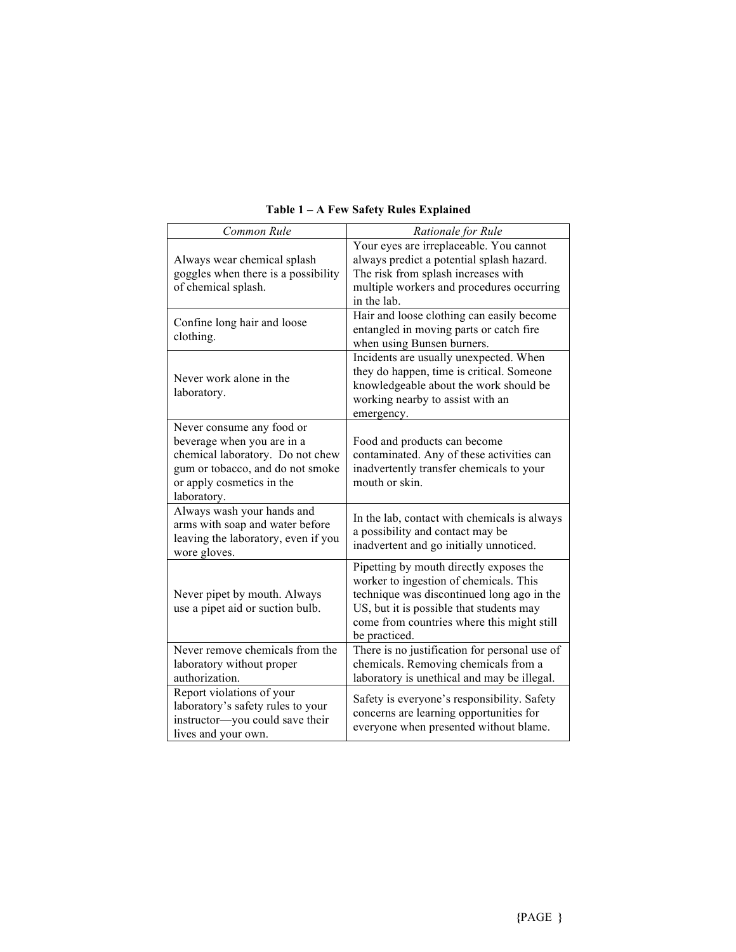| Common Rule                                                                                                                                                                 | Rationale for Rule                                                                                                                                                                                                                         |
|-----------------------------------------------------------------------------------------------------------------------------------------------------------------------------|--------------------------------------------------------------------------------------------------------------------------------------------------------------------------------------------------------------------------------------------|
| Always wear chemical splash<br>goggles when there is a possibility<br>of chemical splash.                                                                                   | Your eyes are irreplaceable. You cannot<br>always predict a potential splash hazard.<br>The risk from splash increases with<br>multiple workers and procedures occurring<br>in the lab.                                                    |
| Confine long hair and loose<br>clothing.                                                                                                                                    | Hair and loose clothing can easily become<br>entangled in moving parts or catch fire<br>when using Bunsen burners.                                                                                                                         |
| Never work alone in the<br>laboratory.                                                                                                                                      | Incidents are usually unexpected. When<br>they do happen, time is critical. Someone<br>knowledgeable about the work should be<br>working nearby to assist with an<br>emergency.                                                            |
| Never consume any food or<br>beverage when you are in a<br>chemical laboratory. Do not chew<br>gum or tobacco, and do not smoke<br>or apply cosmetics in the<br>laboratory. | Food and products can become<br>contaminated. Any of these activities can<br>inadvertently transfer chemicals to your<br>mouth or skin.                                                                                                    |
| Always wash your hands and<br>arms with soap and water before<br>leaving the laboratory, even if you<br>wore gloves.                                                        | In the lab, contact with chemicals is always<br>a possibility and contact may be<br>inadvertent and go initially unnoticed.                                                                                                                |
| Never pipet by mouth. Always<br>use a pipet aid or suction bulb.                                                                                                            | Pipetting by mouth directly exposes the<br>worker to ingestion of chemicals. This<br>technique was discontinued long ago in the<br>US, but it is possible that students may<br>come from countries where this might still<br>be practiced. |
| Never remove chemicals from the<br>laboratory without proper<br>authorization.                                                                                              | There is no justification for personal use of<br>chemicals. Removing chemicals from a<br>laboratory is unethical and may be illegal.                                                                                                       |
| Report violations of your<br>laboratory's safety rules to your<br>instructor-you could save their<br>lives and your own.                                                    | Safety is everyone's responsibility. Safety<br>concerns are learning opportunities for<br>everyone when presented without blame.                                                                                                           |

**Table 1 – A Few Safety Rules Explained**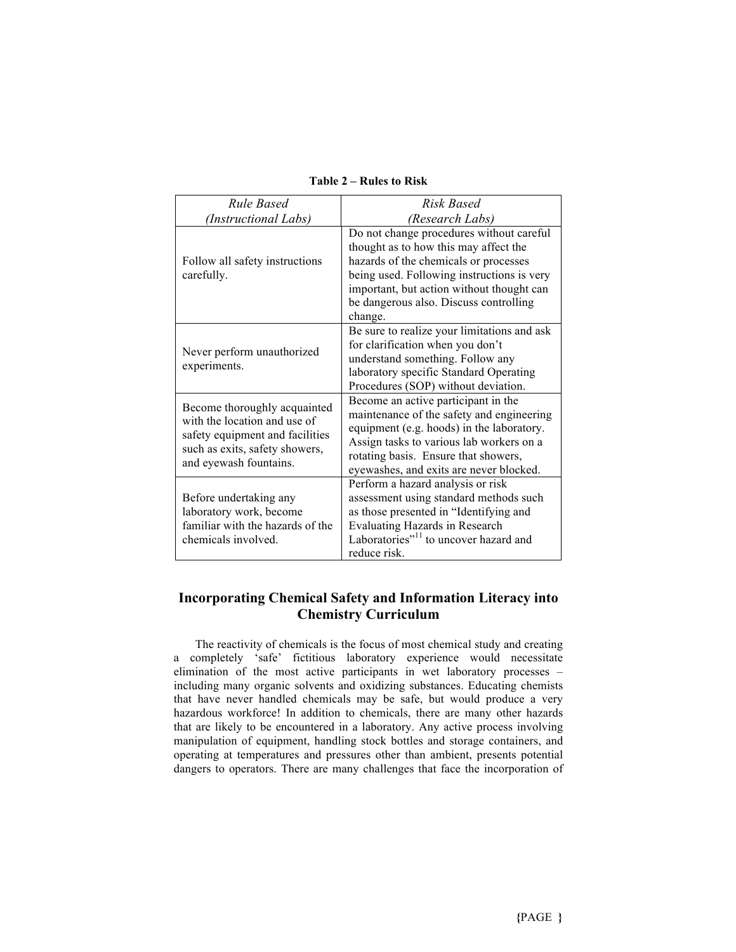| Rule Based                                                                                                                                                  | Risk Based                                                                                                                                                                                                                                                                 |  |  |
|-------------------------------------------------------------------------------------------------------------------------------------------------------------|----------------------------------------------------------------------------------------------------------------------------------------------------------------------------------------------------------------------------------------------------------------------------|--|--|
| (Instructional Labs)                                                                                                                                        | (Research Labs)                                                                                                                                                                                                                                                            |  |  |
| Follow all safety instructions<br>carefully.                                                                                                                | Do not change procedures without careful<br>thought as to how this may affect the<br>hazards of the chemicals or processes<br>being used. Following instructions is very<br>important, but action without thought can<br>be dangerous also. Discuss controlling<br>change. |  |  |
| Never perform unauthorized<br>experiments.                                                                                                                  | Be sure to realize your limitations and ask<br>for clarification when you don't<br>understand something. Follow any<br>laboratory specific Standard Operating<br>Procedures (SOP) without deviation.                                                                       |  |  |
| Become thoroughly acquainted<br>with the location and use of<br>safety equipment and facilities<br>such as exits, safety showers,<br>and eyewash fountains. | Become an active participant in the<br>maintenance of the safety and engineering<br>equipment (e.g. hoods) in the laboratory.<br>Assign tasks to various lab workers on a<br>rotating basis. Ensure that showers,<br>eyewashes, and exits are never blocked.               |  |  |
| Before undertaking any<br>laboratory work, become<br>familiar with the hazards of the<br>chemicals involved.                                                | Perform a hazard analysis or risk<br>assessment using standard methods such<br>as those presented in "Identifying and<br><b>Evaluating Hazards in Research</b><br>Laboratories" <sup>11</sup> to uncover hazard and<br>reduce risk.                                        |  |  |

**Table 2 – Rules to Risk**

## **Incorporating Chemical Safety and Information Literacy into Chemistry Curriculum**

The reactivity of chemicals is the focus of most chemical study and creating a completely 'safe' fictitious laboratory experience would necessitate elimination of the most active participants in wet laboratory processes – including many organic solvents and oxidizing substances. Educating chemists that have never handled chemicals may be safe, but would produce a very hazardous workforce! In addition to chemicals, there are many other hazards that are likely to be encountered in a laboratory. Any active process involving manipulation of equipment, handling stock bottles and storage containers, and operating at temperatures and pressures other than ambient, presents potential dangers to operators. There are many challenges that face the incorporation of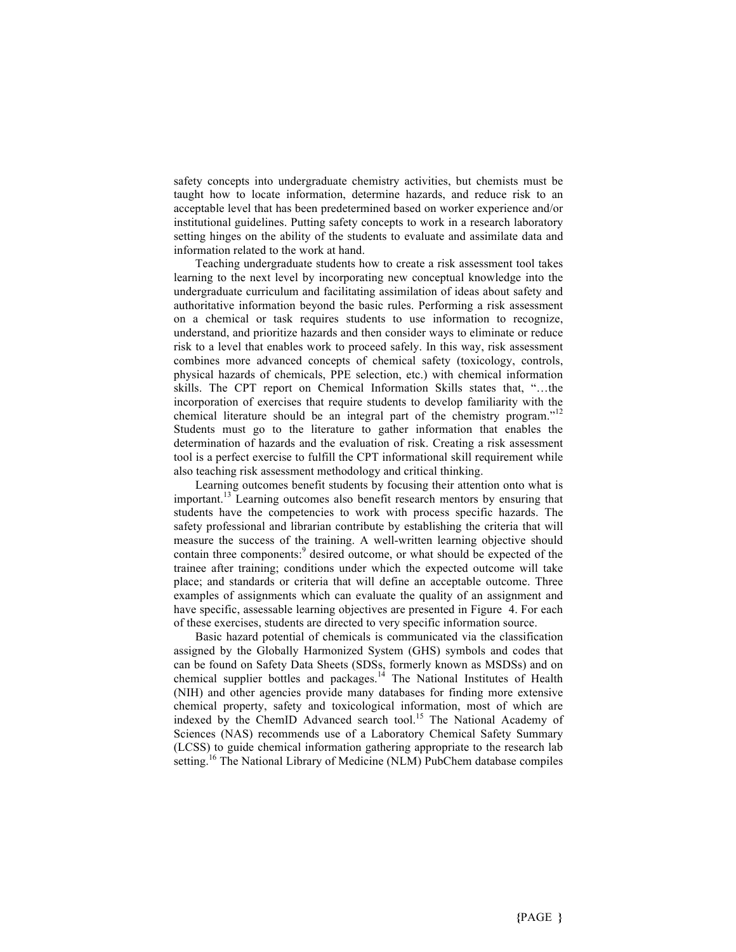safety concepts into undergraduate chemistry activities, but chemists must be taught how to locate information, determine hazards, and reduce risk to an acceptable level that has been predetermined based on worker experience and/or institutional guidelines. Putting safety concepts to work in a research laboratory setting hinges on the ability of the students to evaluate and assimilate data and information related to the work at hand.

Teaching undergraduate students how to create a risk assessment tool takes learning to the next level by incorporating new conceptual knowledge into the undergraduate curriculum and facilitating assimilation of ideas about safety and authoritative information beyond the basic rules. Performing a risk assessment on a chemical or task requires students to use information to recognize, understand, and prioritize hazards and then consider ways to eliminate or reduce risk to a level that enables work to proceed safely. In this way, risk assessment combines more advanced concepts of chemical safety (toxicology, controls, physical hazards of chemicals, PPE selection, etc.) with chemical information skills. The CPT report on Chemical Information Skills states that, "…the incorporation of exercises that require students to develop familiarity with the chemical literature should be an integral part of the chemistry program."<sup>12</sup> Students must go to the literature to gather information that enables the determination of hazards and the evaluation of risk. Creating a risk assessment tool is a perfect exercise to fulfill the CPT informational skill requirement while also teaching risk assessment methodology and critical thinking.

Learning outcomes benefit students by focusing their attention onto what is important.<sup>13</sup> Learning outcomes also benefit research mentors by ensuring that students have the competencies to work with process specific hazards. The safety professional and librarian contribute by establishing the criteria that will measure the success of the training. A well-written learning objective should contain three components:<sup>9</sup> desired outcome, or what should be expected of the trainee after training; conditions under which the expected outcome will take place; and standards or criteria that will define an acceptable outcome. Three examples of assignments which can evaluate the quality of an assignment and have specific, assessable learning objectives are presented in Figure 4. For each of these exercises, students are directed to very specific information source.

Basic hazard potential of chemicals is communicated via the classification assigned by the Globally Harmonized System (GHS) symbols and codes that can be found on Safety Data Sheets (SDSs, formerly known as MSDSs) and on chemical supplier bottles and packages.<sup>14</sup> The National Institutes of Health (NIH) and other agencies provide many databases for finding more extensive chemical property, safety and toxicological information, most of which are indexed by the ChemID Advanced search tool.<sup>15</sup> The National Academy of Sciences (NAS) recommends use of a Laboratory Chemical Safety Summary (LCSS) to guide chemical information gathering appropriate to the research lab setting.<sup>16</sup> The National Library of Medicine (NLM) PubChem database compiles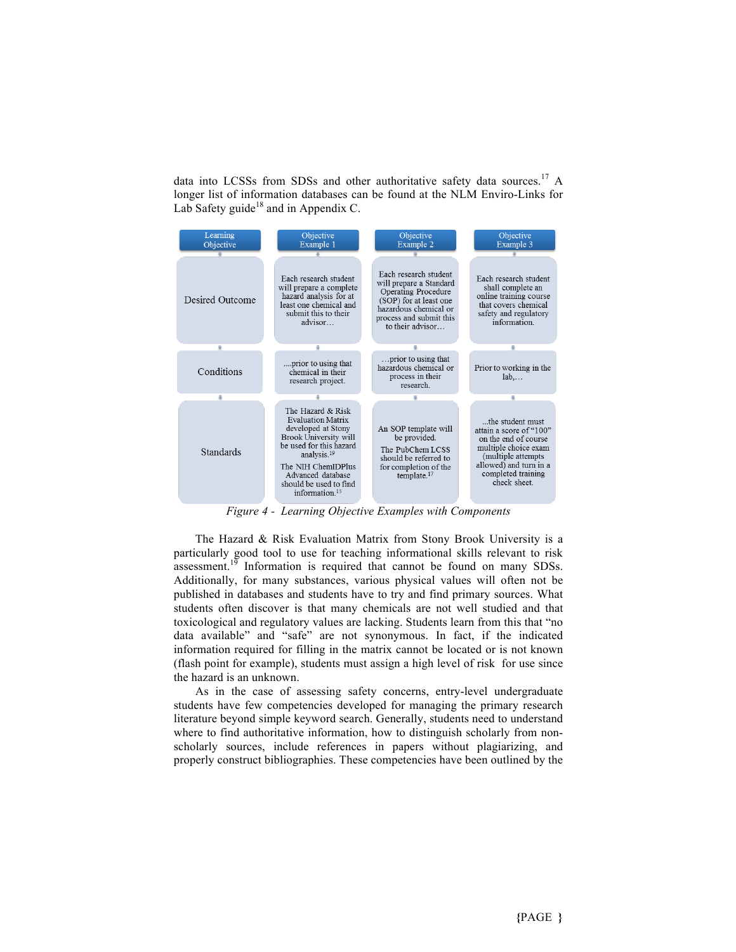data into LCSSs from SDSs and other authoritative safety data sources.<sup>17</sup> A longer list of information databases can be found at the NLM Enviro-Links for Lab Safety guide<sup>18</sup> and in Appendix C.



*Figure 4 - Learning Objective Examples with Components*

The Hazard & Risk Evaluation Matrix from Stony Brook University is a particularly good tool to use for teaching informational skills relevant to risk assessment.<sup>19</sup> Information is required that cannot be found on many SDSs. Additionally, for many substances, various physical values will often not be published in databases and students have to try and find primary sources. What students often discover is that many chemicals are not well studied and that toxicological and regulatory values are lacking. Students learn from this that "no data available" and "safe" are not synonymous. In fact, if the indicated information required for filling in the matrix cannot be located or is not known (flash point for example), students must assign a high level of risk for use since the hazard is an unknown.

As in the case of assessing safety concerns, entry-level undergraduate students have few competencies developed for managing the primary research literature beyond simple keyword search. Generally, students need to understand where to find authoritative information, how to distinguish scholarly from nonscholarly sources, include references in papers without plagiarizing, and properly construct bibliographies. These competencies have been outlined by the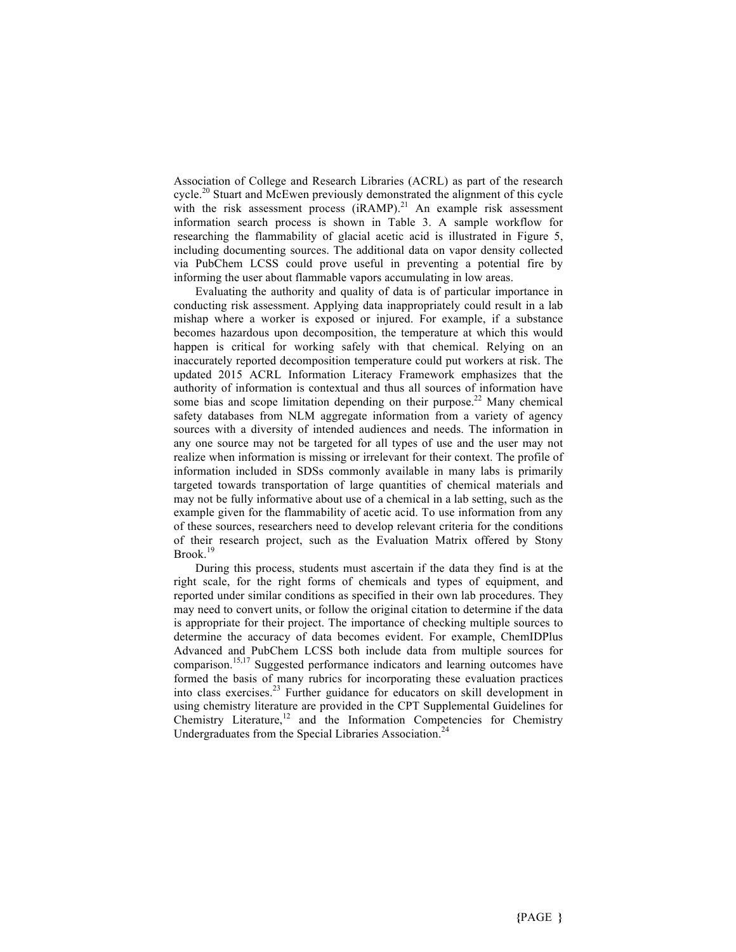Association of College and Research Libraries (ACRL) as part of the research cycle.<sup>20</sup> Stuart and McEwen previously demonstrated the alignment of this cycle with the risk assessment process  $(iRAMP)^{21}$  An example risk assessment information search process is shown in Table 3. A sample workflow for researching the flammability of glacial acetic acid is illustrated in Figure 5, including documenting sources. The additional data on vapor density collected via PubChem LCSS could prove useful in preventing a potential fire by informing the user about flammable vapors accumulating in low areas.

Evaluating the authority and quality of data is of particular importance in conducting risk assessment. Applying data inappropriately could result in a lab mishap where a worker is exposed or injured. For example, if a substance becomes hazardous upon decomposition, the temperature at which this would happen is critical for working safely with that chemical. Relying on an inaccurately reported decomposition temperature could put workers at risk. The updated 2015 ACRL Information Literacy Framework emphasizes that the authority of information is contextual and thus all sources of information have some bias and scope limitation depending on their purpose.<sup>22</sup> Many chemical safety databases from NLM aggregate information from a variety of agency sources with a diversity of intended audiences and needs. The information in any one source may not be targeted for all types of use and the user may not realize when information is missing or irrelevant for their context. The profile of information included in SDSs commonly available in many labs is primarily targeted towards transportation of large quantities of chemical materials and may not be fully informative about use of a chemical in a lab setting, such as the example given for the flammability of acetic acid. To use information from any of these sources, researchers need to develop relevant criteria for the conditions of their research project, such as the Evaluation Matrix offered by Stony Brook.<sup>19</sup>

During this process, students must ascertain if the data they find is at the right scale, for the right forms of chemicals and types of equipment, and reported under similar conditions as specified in their own lab procedures. They may need to convert units, or follow the original citation to determine if the data is appropriate for their project. The importance of checking multiple sources to determine the accuracy of data becomes evident. For example, ChemIDPlus Advanced and PubChem LCSS both include data from multiple sources for comparison.<sup>15,17</sup> Suggested performance indicators and learning outcomes have formed the basis of many rubrics for incorporating these evaluation practices into class exercises.<sup>23</sup> Further guidance for educators on skill development in using chemistry literature are provided in the CPT Supplemental Guidelines for Chemistry Literature,<sup>12</sup> and the Information Competencies for Chemistry Undergraduates from the Special Libraries Association.<sup>24</sup>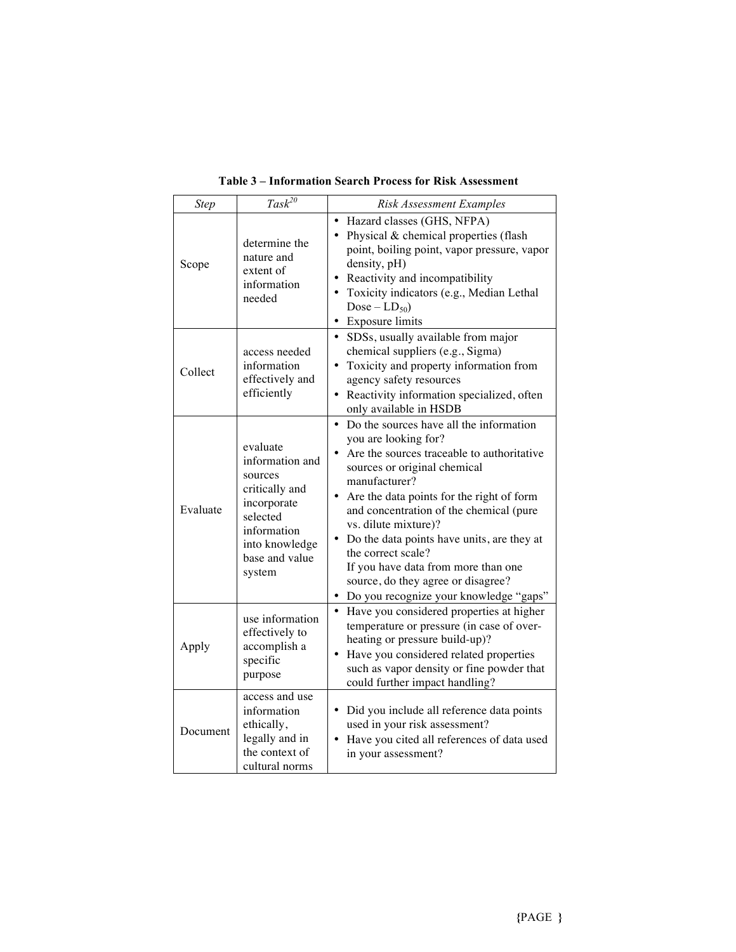| <b>Step</b> | Task $^{2\overline{0}}$                                                                                                                          | <b>Risk Assessment Examples</b>                                                                                                                                                                                                                                                                                                                                                                                                                                                        |
|-------------|--------------------------------------------------------------------------------------------------------------------------------------------------|----------------------------------------------------------------------------------------------------------------------------------------------------------------------------------------------------------------------------------------------------------------------------------------------------------------------------------------------------------------------------------------------------------------------------------------------------------------------------------------|
| Scope       | determine the<br>nature and<br>extent of<br>information<br>needed                                                                                | Hazard classes (GHS, NFPA)<br>$\bullet$<br>Physical & chemical properties (flash<br>point, boiling point, vapor pressure, vapor<br>density, pH)<br>Reactivity and incompatibility<br>Toxicity indicators (e.g., Median Lethal<br>$Dose - LD_{50})$<br><b>Exposure limits</b>                                                                                                                                                                                                           |
| Collect     | access needed<br>information<br>effectively and<br>efficiently                                                                                   | SDSs, usually available from major<br>$\bullet$<br>chemical suppliers (e.g., Sigma)<br>Toxicity and property information from<br>agency safety resources<br>Reactivity information specialized, often<br>only available in HSDB                                                                                                                                                                                                                                                        |
| Evaluate    | evaluate<br>information and<br>sources<br>critically and<br>incorporate<br>selected<br>information<br>into knowledge<br>base and value<br>system | Do the sources have all the information<br>$\bullet$<br>you are looking for?<br>Are the sources traceable to authoritative<br>sources or original chemical<br>manufacturer?<br>Are the data points for the right of form<br>and concentration of the chemical (pure<br>vs. dilute mixture)?<br>Do the data points have units, are they at<br>the correct scale?<br>If you have data from more than one<br>source, do they agree or disagree?<br>Do you recognize your knowledge "gaps" |
| Apply       | use information<br>effectively to<br>accomplish a<br>specific<br>purpose                                                                         | Have you considered properties at higher<br>temperature or pressure (in case of over-<br>heating or pressure build-up)?<br>Have you considered related properties<br>such as vapor density or fine powder that<br>could further impact handling?                                                                                                                                                                                                                                       |
| Document    | access and use<br>information<br>ethically,<br>legally and in<br>the context of<br>cultural norms                                                | Did you include all reference data points<br>$\bullet$<br>used in your risk assessment?<br>Have you cited all references of data used<br>in your assessment?                                                                                                                                                                                                                                                                                                                           |

**Table 3 – Information Search Process for Risk Assessment**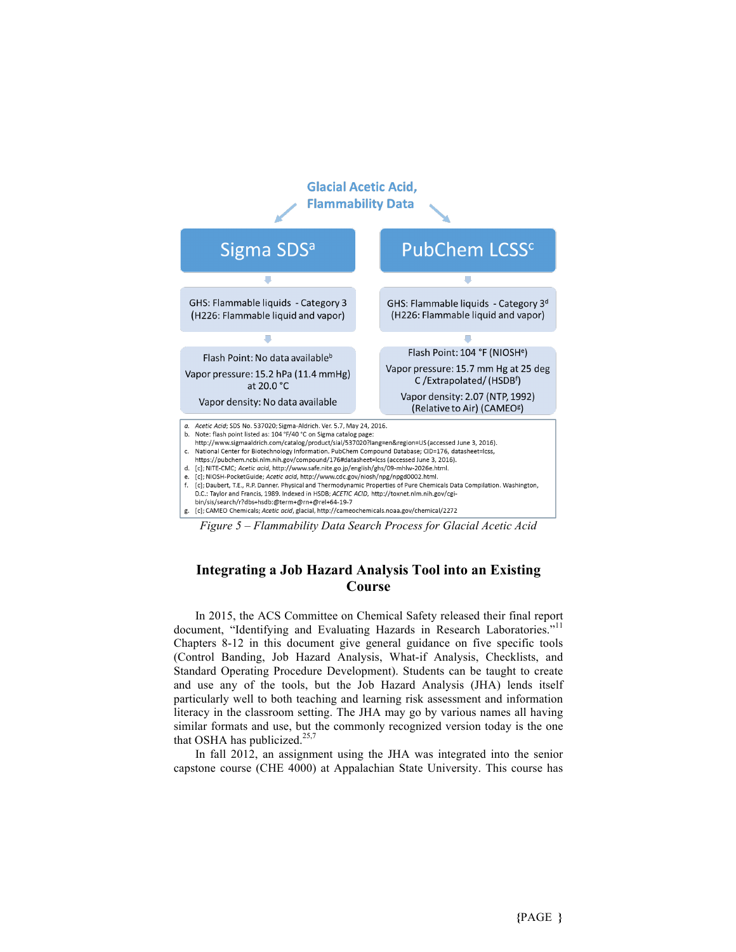

*Figure 5 – Flammability Data Search Process for Glacial Acetic Acid*

## **Integrating a Job Hazard Analysis Tool into an Existing Course**

In 2015, the ACS Committee on Chemical Safety released their final report document, "Identifying and Evaluating Hazards in Research Laboratories."<sup>11</sup> Chapters 8-12 in this document give general guidance on five specific tools (Control Banding, Job Hazard Analysis, What-if Analysis, Checklists, and Standard Operating Procedure Development). Students can be taught to create and use any of the tools, but the Job Hazard Analysis (JHA) lends itself particularly well to both teaching and learning risk assessment and information literacy in the classroom setting. The JHA may go by various names all having similar formats and use, but the commonly recognized version today is the one that OSHA has publicized. $25,7$ 

In fall 2012, an assignment using the JHA was integrated into the senior capstone course (CHE 4000) at Appalachian State University. This course has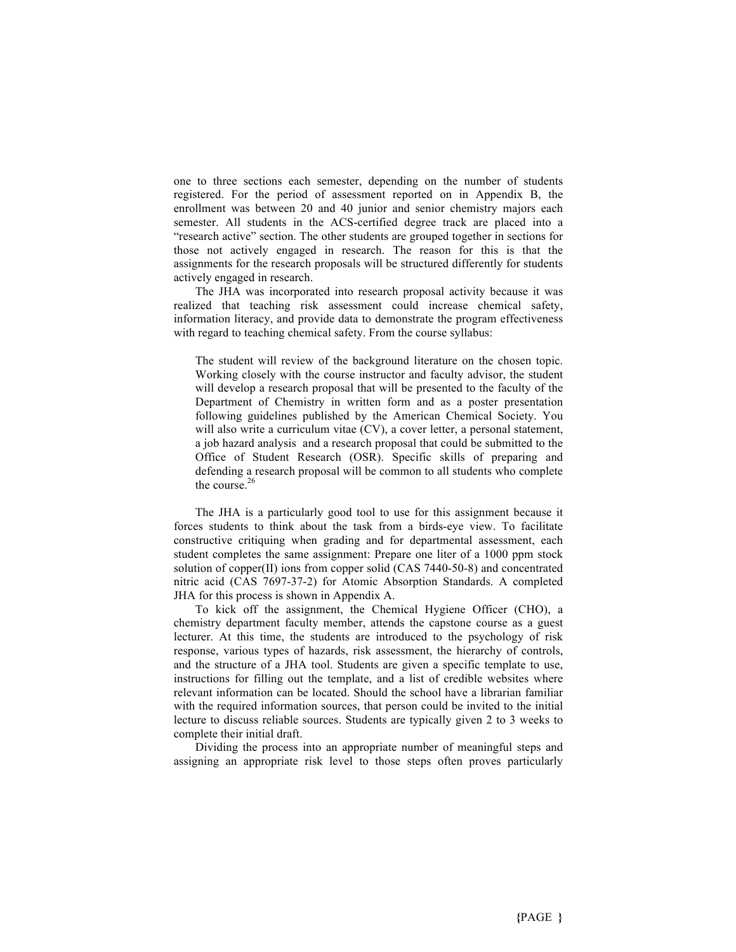one to three sections each semester, depending on the number of students registered. For the period of assessment reported on in Appendix B, the enrollment was between 20 and 40 junior and senior chemistry majors each semester. All students in the ACS-certified degree track are placed into a "research active" section. The other students are grouped together in sections for those not actively engaged in research. The reason for this is that the assignments for the research proposals will be structured differently for students actively engaged in research.

The JHA was incorporated into research proposal activity because it was realized that teaching risk assessment could increase chemical safety, information literacy, and provide data to demonstrate the program effectiveness with regard to teaching chemical safety. From the course syllabus:

The student will review of the background literature on the chosen topic. Working closely with the course instructor and faculty advisor, the student will develop a research proposal that will be presented to the faculty of the Department of Chemistry in written form and as a poster presentation following guidelines published by the American Chemical Society. You will also write a curriculum vitae (CV), a cover letter, a personal statement, a job hazard analysis and a research proposal that could be submitted to the Office of Student Research (OSR). Specific skills of preparing and defending a research proposal will be common to all students who complete the course. $26$ 

The JHA is a particularly good tool to use for this assignment because it forces students to think about the task from a birds-eye view. To facilitate constructive critiquing when grading and for departmental assessment, each student completes the same assignment: Prepare one liter of a 1000 ppm stock solution of copper(II) ions from copper solid (CAS 7440-50-8) and concentrated nitric acid (CAS 7697-37-2) for Atomic Absorption Standards. A completed JHA for this process is shown in Appendix A.

To kick off the assignment, the Chemical Hygiene Officer (CHO), a chemistry department faculty member, attends the capstone course as a guest lecturer. At this time, the students are introduced to the psychology of risk response, various types of hazards, risk assessment, the hierarchy of controls, and the structure of a JHA tool. Students are given a specific template to use, instructions for filling out the template, and a list of credible websites where relevant information can be located. Should the school have a librarian familiar with the required information sources, that person could be invited to the initial lecture to discuss reliable sources. Students are typically given 2 to 3 weeks to complete their initial draft.

Dividing the process into an appropriate number of meaningful steps and assigning an appropriate risk level to those steps often proves particularly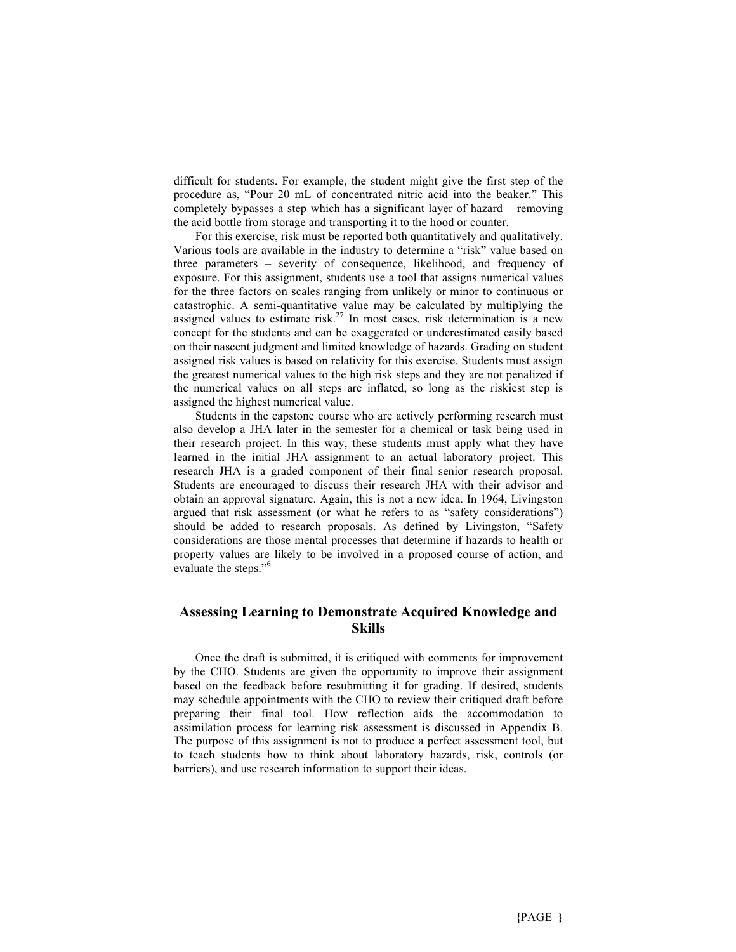difficult for students. For example, the student might give the first step of the procedure as, "Pour 20 mL of concentrated nitric acid into the beaker." This completely bypasses a step which has a significant layer of hazard – removing the acid bottle from storage and transporting it to the hood or counter.

For this exercise, risk must be reported both quantitatively and qualitatively. Various tools are available in the industry to determine a "risk" value based on three parameters – severity of consequence, likelihood, and frequency of exposure. For this assignment, students use a tool that assigns numerical values for the three factors on scales ranging from unlikely or minor to continuous or catastrophic. A semi-quantitative value may be calculated by multiplying the assigned values to estimate risk.<sup>27</sup> In most cases, risk determination is a new concept for the students and can be exaggerated or underestimated easily based on their nascent judgment and limited knowledge of hazards. Grading on student assigned risk values is based on relativity for this exercise. Students must assign the greatest numerical values to the high risk steps and they are not penalized if the numerical values on all steps are inflated, so long as the riskiest step is assigned the highest numerical value.

Students in the capstone course who are actively performing research must also develop a JHA later in the semester for a chemical or task being used in their research project. In this way, these students must apply what they have learned in the initial JHA assignment to an actual laboratory project. This research JHA is a graded component of their final senior research proposal. Students are encouraged to discuss their research JHA with their advisor and obtain an approval signature. Again, this is not a new idea. In 1964, Livingston argued that risk assessment (or what he refers to as "safety considerations") should be added to research proposals. As defined by Livingston, "Safety considerations are those mental processes that determine if hazards to health or property values are likely to be involved in a proposed course of action, and evaluate the steps."<sup>6</sup>

## **Assessing Learning to Demonstrate Acquired Knowledge and Skills**

Once the draft is submitted, it is critiqued with comments for improvement by the CHO. Students are given the opportunity to improve their assignment based on the feedback before resubmitting it for grading. If desired, students may schedule appointments with the CHO to review their critiqued draft before preparing their final tool. How reflection aids the accommodation to assimilation process for learning risk assessment is discussed in Appendix B. The purpose of this assignment is not to produce a perfect assessment tool, but to teach students how to think about laboratory hazards, risk, controls (or barriers), and use research information to support their ideas.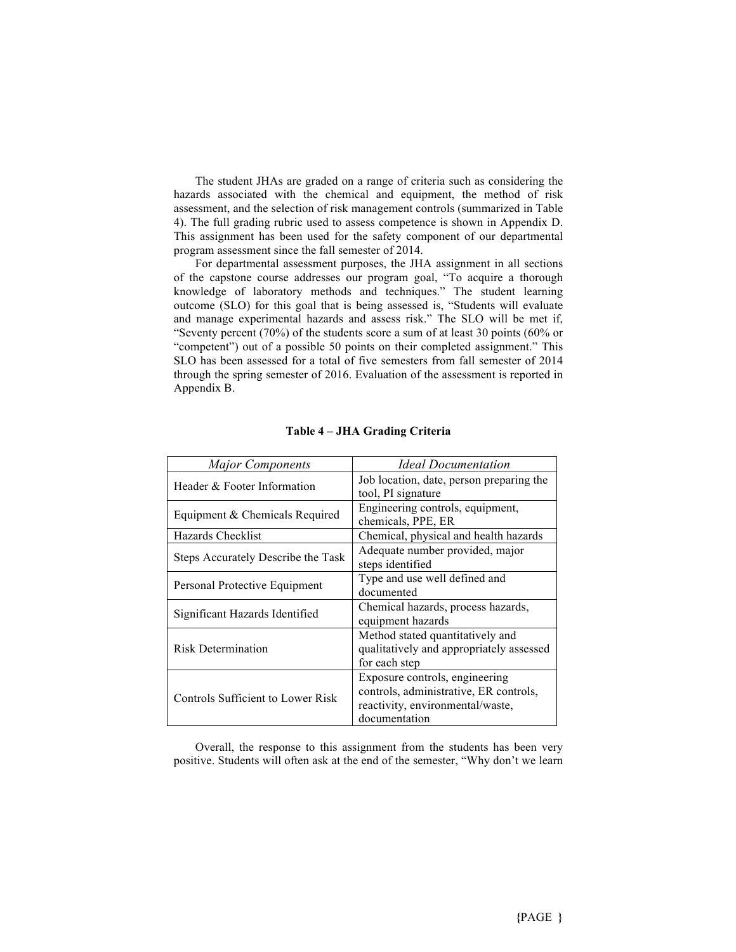The student JHAs are graded on a range of criteria such as considering the hazards associated with the chemical and equipment, the method of risk assessment, and the selection of risk management controls (summarized in Table 4). The full grading rubric used to assess competence is shown in Appendix D. This assignment has been used for the safety component of our departmental program assessment since the fall semester of 2014.

For departmental assessment purposes, the JHA assignment in all sections of the capstone course addresses our program goal, "To acquire a thorough knowledge of laboratory methods and techniques." The student learning outcome (SLO) for this goal that is being assessed is, "Students will evaluate and manage experimental hazards and assess risk." The SLO will be met if, "Seventy percent  $(70\%)$  of the students score a sum of at least 30 points  $(60\%$  or "competent") out of a possible 50 points on their completed assignment." This SLO has been assessed for a total of five semesters from fall semester of 2014 through the spring semester of 2016. Evaluation of the assessment is reported in Appendix B.

| <b>Major Components</b>            | <i>Ideal Documentation</i>                                                                                                    |
|------------------------------------|-------------------------------------------------------------------------------------------------------------------------------|
| Header & Footer Information        | Job location, date, person preparing the<br>tool, PI signature                                                                |
| Equipment & Chemicals Required     | Engineering controls, equipment,<br>chemicals, PPE, ER                                                                        |
| Hazards Checklist                  | Chemical, physical and health hazards                                                                                         |
| Steps Accurately Describe the Task | Adequate number provided, major<br>steps identified                                                                           |
| Personal Protective Equipment      | Type and use well defined and<br>documented                                                                                   |
| Significant Hazards Identified     | Chemical hazards, process hazards,<br>equipment hazards                                                                       |
| <b>Risk Determination</b>          | Method stated quantitatively and<br>qualitatively and appropriately assessed<br>for each step                                 |
| Controls Sufficient to Lower Risk  | Exposure controls, engineering<br>controls, administrative, ER controls,<br>reactivity, environmental/waste,<br>documentation |

#### **Table 4 – JHA Grading Criteria**

Overall, the response to this assignment from the students has been very positive. Students will often ask at the end of the semester, "Why don't we learn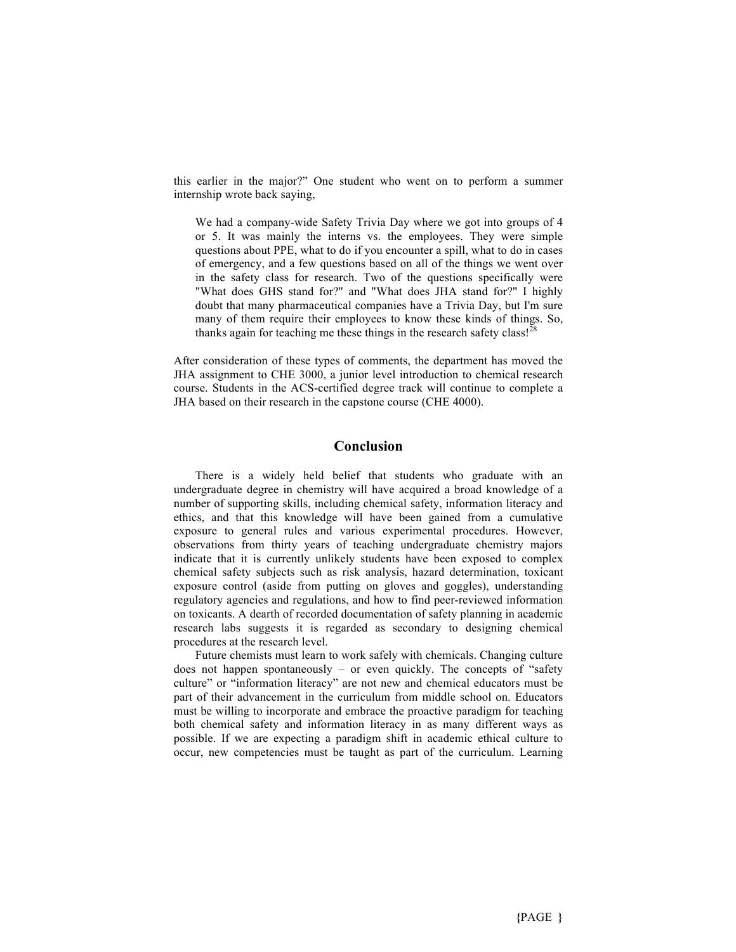this earlier in the major?" One student who went on to perform a summer internship wrote back saying,

We had a company-wide Safety Trivia Day where we got into groups of 4 or 5. It was mainly the interns vs. the employees. They were simple questions about PPE, what to do if you encounter a spill, what to do in cases of emergency, and a few questions based on all of the things we went over in the safety class for research. Two of the questions specifically were "What does GHS stand for?" and "What does JHA stand for?" I highly doubt that many pharmaceutical companies have a Trivia Day, but I'm sure many of them require their employees to know these kinds of things. So, thanks again for teaching me these things in the research safety class!<sup>28</sup>

After consideration of these types of comments, the department has moved the JHA assignment to CHE 3000, a junior level introduction to chemical research course. Students in the ACS-certified degree track will continue to complete a JHA based on their research in the capstone course (CHE 4000).

### **Conclusion**

There is a widely held belief that students who graduate with an undergraduate degree in chemistry will have acquired a broad knowledge of a number of supporting skills, including chemical safety, information literacy and ethics, and that this knowledge will have been gained from a cumulative exposure to general rules and various experimental procedures. However, observations from thirty years of teaching undergraduate chemistry majors indicate that it is currently unlikely students have been exposed to complex chemical safety subjects such as risk analysis, hazard determination, toxicant exposure control (aside from putting on gloves and goggles), understanding regulatory agencies and regulations, and how to find peer-reviewed information on toxicants. A dearth of recorded documentation of safety planning in academic research labs suggests it is regarded as secondary to designing chemical procedures at the research level.

Future chemists must learn to work safely with chemicals. Changing culture does not happen spontaneously – or even quickly. The concepts of "safety culture" or "information literacy" are not new and chemical educators must be part of their advancement in the curriculum from middle school on. Educators must be willing to incorporate and embrace the proactive paradigm for teaching both chemical safety and information literacy in as many different ways as possible. If we are expecting a paradigm shift in academic ethical culture to occur, new competencies must be taught as part of the curriculum. Learning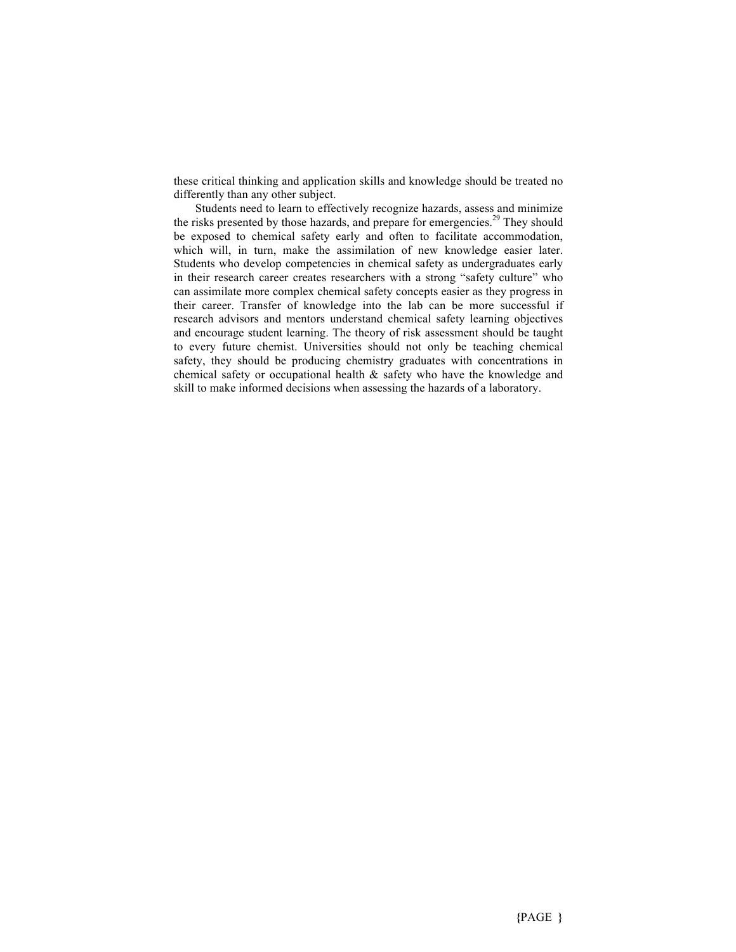these critical thinking and application skills and knowledge should be treated no differently than any other subject.

Students need to learn to effectively recognize hazards, assess and minimize the risks presented by those hazards, and prepare for emergencies.<sup>29</sup> They should be exposed to chemical safety early and often to facilitate accommodation, which will, in turn, make the assimilation of new knowledge easier later. Students who develop competencies in chemical safety as undergraduates early in their research career creates researchers with a strong "safety culture" who can assimilate more complex chemical safety concepts easier as they progress in their career. Transfer of knowledge into the lab can be more successful if research advisors and mentors understand chemical safety learning objectives and encourage student learning. The theory of risk assessment should be taught to every future chemist. Universities should not only be teaching chemical safety, they should be producing chemistry graduates with concentrations in chemical safety or occupational health & safety who have the knowledge and skill to make informed decisions when assessing the hazards of a laboratory.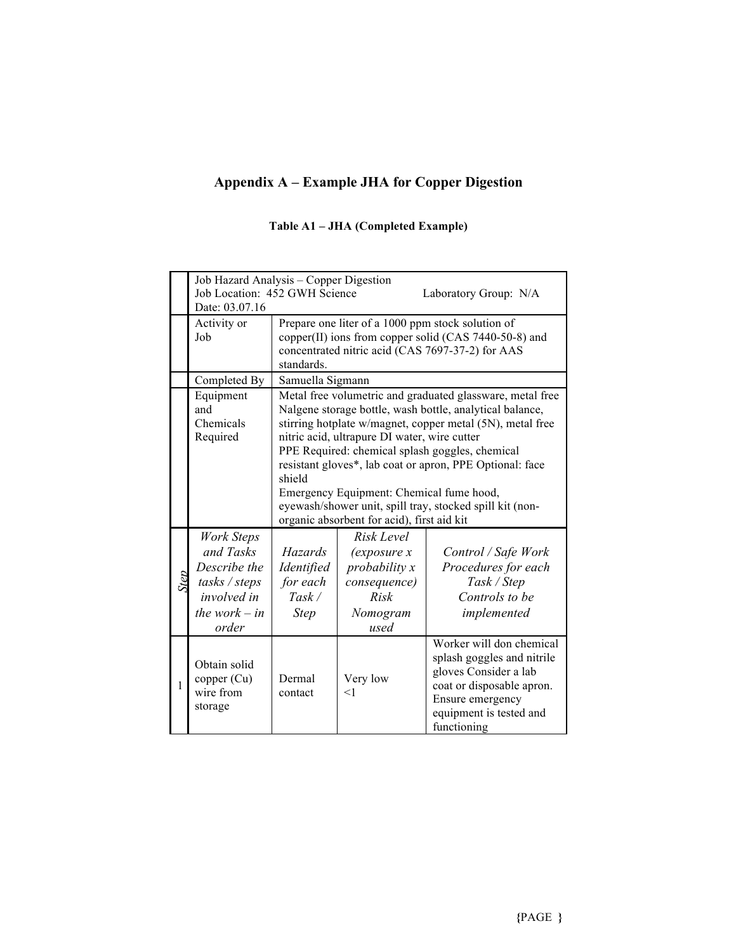# **Appendix A – Example JHA for Copper Digestion**

| Table A1 - JHA (Completed Example) |  |  |
|------------------------------------|--|--|
|------------------------------------|--|--|

|          | Job Hazard Analysis - Copper Digestion<br>Job Location: 452 GWH Science<br>Laboratory Group: N/A<br>Date: 03.07.16 |                                                                                                                                                                                                                                                                                                                                                                                                                                                                                                                   |                                                                                                                                                                |                                                                                                                                                                            |  |  |
|----------|--------------------------------------------------------------------------------------------------------------------|-------------------------------------------------------------------------------------------------------------------------------------------------------------------------------------------------------------------------------------------------------------------------------------------------------------------------------------------------------------------------------------------------------------------------------------------------------------------------------------------------------------------|----------------------------------------------------------------------------------------------------------------------------------------------------------------|----------------------------------------------------------------------------------------------------------------------------------------------------------------------------|--|--|
|          | Activity or<br>Job                                                                                                 | standards.                                                                                                                                                                                                                                                                                                                                                                                                                                                                                                        | Prepare one liter of a 1000 ppm stock solution of<br>copper(II) ions from copper solid (CAS 7440-50-8) and<br>concentrated nitric acid (CAS 7697-37-2) for AAS |                                                                                                                                                                            |  |  |
|          | Completed By                                                                                                       | Samuella Sigmann                                                                                                                                                                                                                                                                                                                                                                                                                                                                                                  |                                                                                                                                                                |                                                                                                                                                                            |  |  |
|          | Equipment<br>and<br>Chemicals<br>Required                                                                          | Metal free volumetric and graduated glassware, metal free<br>Nalgene storage bottle, wash bottle, analytical balance,<br>stirring hotplate w/magnet, copper metal (5N), metal free<br>nitric acid, ultrapure DI water, wire cutter<br>PPE Required: chemical splash goggles, chemical<br>resistant gloves*, lab coat or apron, PPE Optional: face<br>shield<br>Emergency Equipment: Chemical fume hood,<br>eyewash/shower unit, spill tray, stocked spill kit (non-<br>organic absorbent for acid), first aid kit |                                                                                                                                                                |                                                                                                                                                                            |  |  |
| $\delta$ | Work Steps<br>and Tasks<br>Describe the<br>tasks / steps<br>involved in<br>the work $-$ in<br>order                | Hazards<br>Identified<br>for each<br>Task /<br><b>Step</b>                                                                                                                                                                                                                                                                                                                                                                                                                                                        | Risk Level<br>(exposure x<br>probability x<br>consequence)<br>Risk<br>Nomogram<br>used                                                                         | Control / Safe Work<br>Procedures for each<br>Task / Step<br>Controls to be<br>implemented                                                                                 |  |  |
| 1        | Obtain solid<br>copper (Cu)<br>wire from<br>storage                                                                | Dermal<br>contact                                                                                                                                                                                                                                                                                                                                                                                                                                                                                                 | Very low<br>$<$ 1                                                                                                                                              | Worker will don chemical<br>splash goggles and nitrile<br>gloves Consider a lab<br>coat or disposable apron.<br>Ensure emergency<br>equipment is tested and<br>functioning |  |  |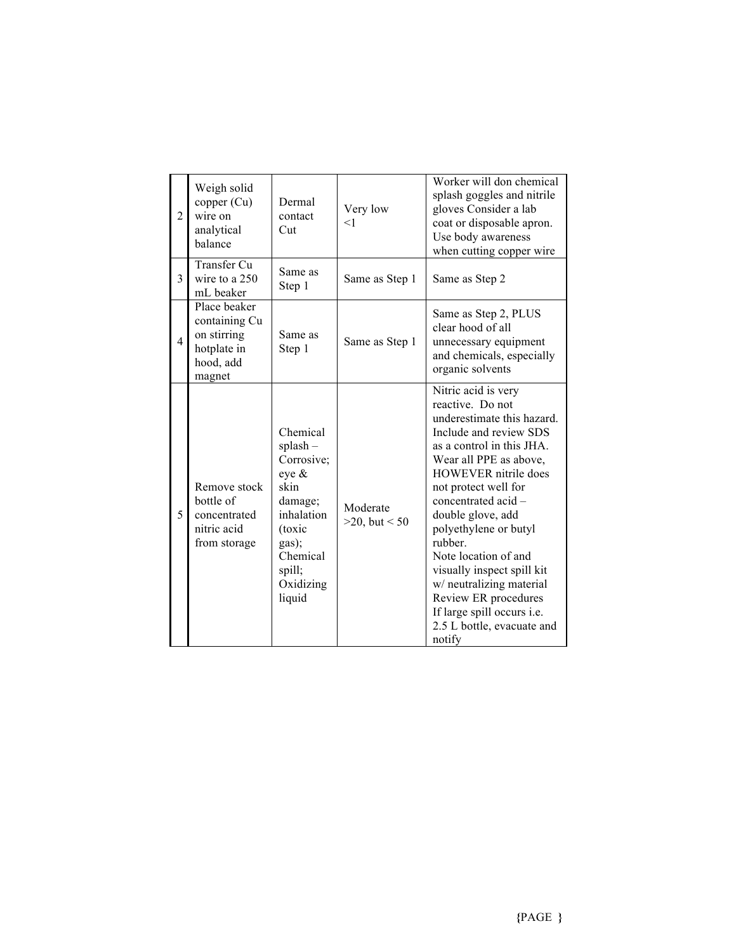| $\overline{2}$ | Weigh solid<br>copper (Cu)<br>wire on<br>analytical<br>balance                     | Dermal<br>contact<br>Cut                                                                                                                       | Very low<br>$<$ 1            | Worker will don chemical<br>splash goggles and nitrile<br>gloves Consider a lab<br>coat or disposable apron.<br>Use body awareness<br>when cutting copper wire                                                                                                                                                                                                                                                                                                                |
|----------------|------------------------------------------------------------------------------------|------------------------------------------------------------------------------------------------------------------------------------------------|------------------------------|-------------------------------------------------------------------------------------------------------------------------------------------------------------------------------------------------------------------------------------------------------------------------------------------------------------------------------------------------------------------------------------------------------------------------------------------------------------------------------|
| 3              | Transfer Cu<br>wire to a 250<br>mL beaker                                          | Same as<br>Step 1                                                                                                                              | Same as Step 1               | Same as Step 2                                                                                                                                                                                                                                                                                                                                                                                                                                                                |
| $\overline{4}$ | Place beaker<br>containing Cu<br>on stirring<br>hotplate in<br>hood, add<br>magnet | Same as<br>Step 1                                                                                                                              | Same as Step 1               | Same as Step 2, PLUS<br>clear hood of all<br>unnecessary equipment<br>and chemicals, especially<br>organic solvents                                                                                                                                                                                                                                                                                                                                                           |
| 5              | Remove stock<br>bottle of<br>concentrated<br>nitric acid<br>from storage           | Chemical<br>$splash -$<br>Corrosive;<br>eye &<br>skin<br>damage;<br>inhalation<br>(toxic<br>gas);<br>Chemical<br>spill;<br>Oxidizing<br>liquid | Moderate<br>$>20$ , but < 50 | Nitric acid is very<br>reactive. Do not<br>underestimate this hazard.<br>Include and review SDS<br>as a control in this JHA.<br>Wear all PPE as above,<br><b>HOWEVER</b> nitrile does<br>not protect well for<br>concentrated acid -<br>double glove, add<br>polyethylene or butyl<br>rubber.<br>Note location of and<br>visually inspect spill kit<br>w/ neutralizing material<br>Review ER procedures<br>If large spill occurs i.e.<br>2.5 L bottle, evacuate and<br>notify |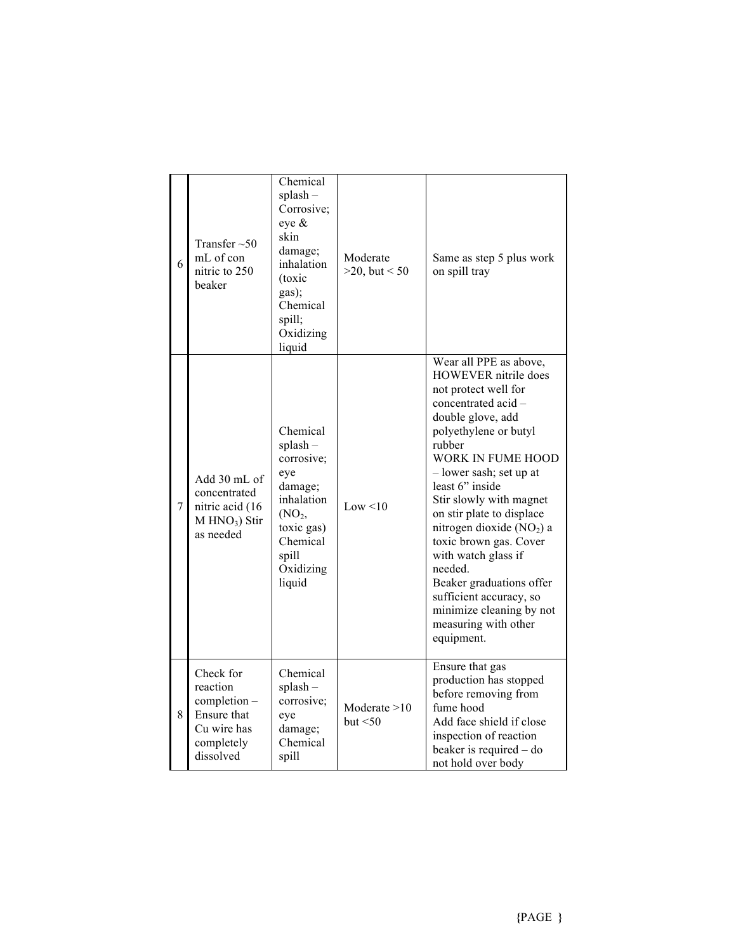| 6      | Transfer $~50$<br>mL of con<br>nitric to 250<br>beaker                                         | Chemical<br>splash<br>Corrosive;<br>eye &<br>skin<br>damage;<br>inhalation<br>(toxic<br>gas);<br>Chemical<br>spill;<br>Oxidizing<br>liquid     | Moderate<br>$>20$ , but < 50 | Same as step 5 plus work<br>on spill tray                                                                                                                                                                                                                                                                                                                                                                                                                                                                        |
|--------|------------------------------------------------------------------------------------------------|------------------------------------------------------------------------------------------------------------------------------------------------|------------------------------|------------------------------------------------------------------------------------------------------------------------------------------------------------------------------------------------------------------------------------------------------------------------------------------------------------------------------------------------------------------------------------------------------------------------------------------------------------------------------------------------------------------|
| $\tau$ | Add 30 mL of<br>concentrated<br>nitric acid (16<br>$M HNO3)$ Stir<br>as needed                 | Chemical<br>splash<br>corrosive;<br>eye<br>damage;<br>inhalation<br>(NO <sub>2</sub><br>toxic gas)<br>Chemical<br>spill<br>Oxidizing<br>liquid | Low < 10                     | Wear all PPE as above,<br><b>HOWEVER</b> nitrile does<br>not protect well for<br>concentrated acid-<br>double glove, add<br>polyethylene or butyl<br>rubber<br><b>WORK IN FUME HOOD</b><br>- lower sash; set up at<br>least 6" inside<br>Stir slowly with magnet<br>on stir plate to displace<br>nitrogen dioxide $(NO2)$ a<br>toxic brown gas. Cover<br>with watch glass if<br>needed.<br>Beaker graduations offer<br>sufficient accuracy, so<br>minimize cleaning by not<br>measuring with other<br>equipment. |
| 8      | Check for<br>reaction<br>completion -<br>Ensure that<br>Cu wire has<br>completely<br>dissolved | Chemical<br>splash<br>corrosive;<br>eye<br>damage;<br>Chemical<br>spill                                                                        | Moderate $>10$<br>but $< 50$ | Ensure that gas<br>production has stopped<br>before removing from<br>fume hood<br>Add face shield if close<br>inspection of reaction<br>beaker is required - do<br>not hold over body                                                                                                                                                                                                                                                                                                                            |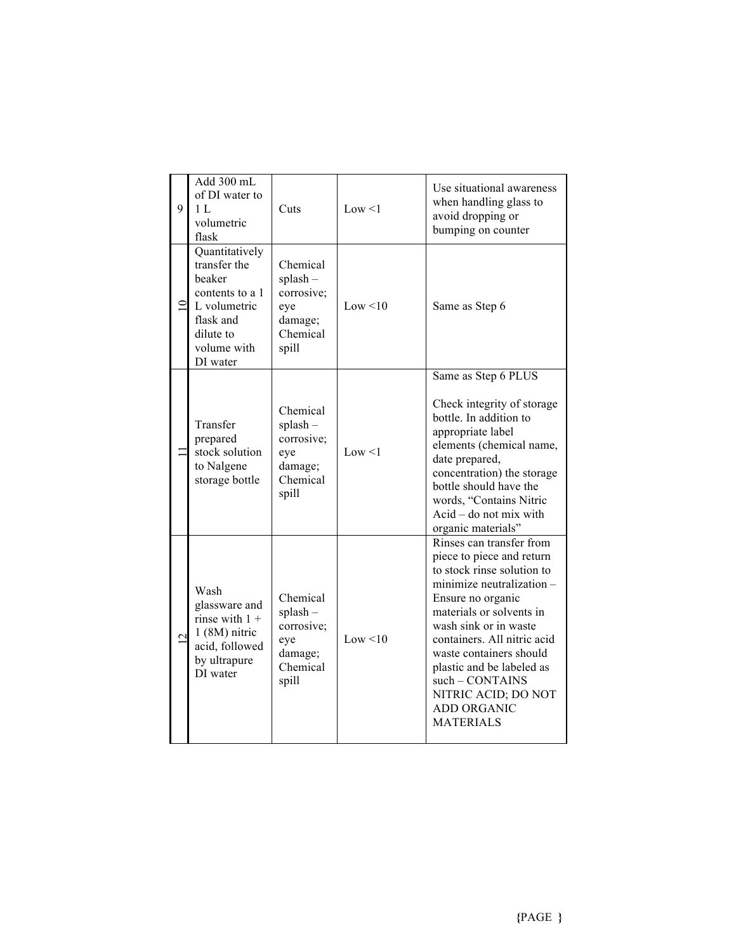| 9                        | Add 300 mL<br>of DI water to<br>1 <sub>L</sub><br>volumetric<br>flask                                                            | Cuts                                                                    | Low < 1  | Use situational awareness<br>when handling glass to<br>avoid dropping or<br>bumping on counter                                                                                                                                                                                                                                                                        |
|--------------------------|----------------------------------------------------------------------------------------------------------------------------------|-------------------------------------------------------------------------|----------|-----------------------------------------------------------------------------------------------------------------------------------------------------------------------------------------------------------------------------------------------------------------------------------------------------------------------------------------------------------------------|
| $\subseteq$              | Quantitatively<br>transfer the<br>beaker<br>contents to a 1<br>L volumetric<br>flask and<br>dilute to<br>volume with<br>DI water | Chemical<br>splash<br>corrosive;<br>eye<br>damage;<br>Chemical<br>spill | Low < 10 | Same as Step 6                                                                                                                                                                                                                                                                                                                                                        |
|                          | Transfer<br>prepared<br>stock solution<br>to Nalgene<br>storage bottle                                                           | Chemical<br>splash<br>corrosive;<br>eye<br>damage;<br>Chemical<br>spill | Low < 1  | Same as Step 6 PLUS<br>Check integrity of storage<br>bottle. In addition to<br>appropriate label<br>elements (chemical name,<br>date prepared,<br>concentration) the storage<br>bottle should have the<br>words, "Contains Nitric<br>Acid - do not mix with<br>organic materials"                                                                                     |
| $\overline{\mathcal{C}}$ | Wash<br>glassware and<br>rinse with $1 +$<br>$1(8M)$ nitric<br>acid, followed<br>by ultrapure<br>DI water                        | Chemical<br>splash<br>corrosive;<br>eye<br>damage;<br>Chemical<br>spill | Low < 10 | Rinses can transfer from<br>piece to piece and return<br>to stock rinse solution to<br>minimize neutralization -<br>Ensure no organic<br>materials or solvents in<br>wash sink or in waste<br>containers. All nitric acid<br>waste containers should<br>plastic and be labeled as<br>such - CONTAINS<br>NITRIC ACID; DO NOT<br><b>ADD ORGANIC</b><br><b>MATERIALS</b> |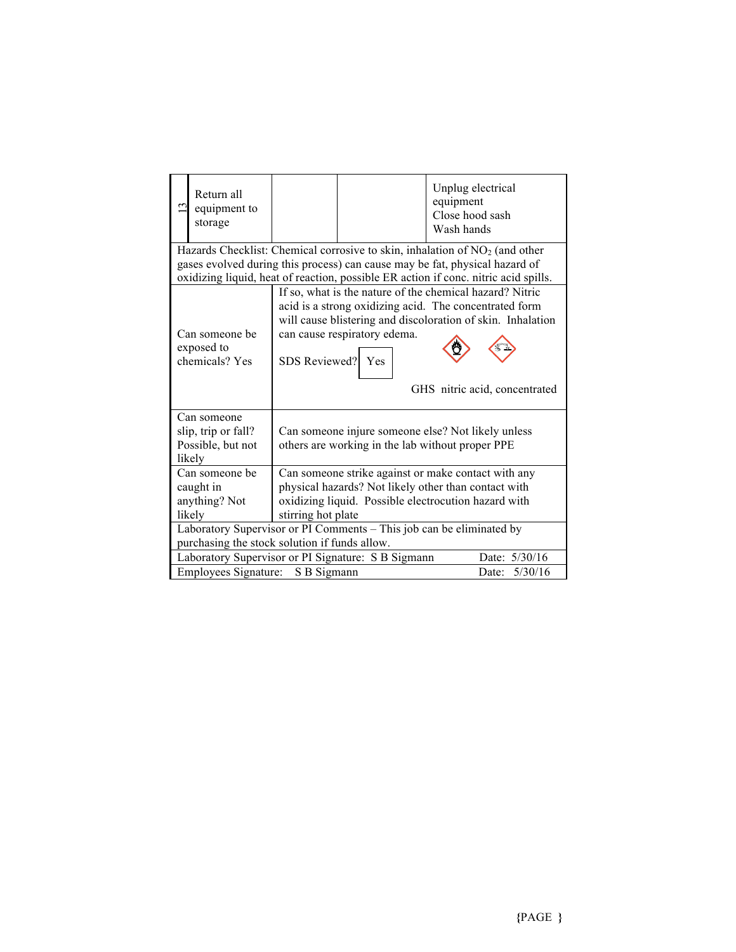| Return all<br>equipment to<br>storage                                                                                                                                                                                                                                                                                                                                                                            |                    |                                                    | Unplug electrical<br>equipment<br>Close hood sash<br>Wash hands                                             |
|------------------------------------------------------------------------------------------------------------------------------------------------------------------------------------------------------------------------------------------------------------------------------------------------------------------------------------------------------------------------------------------------------------------|--------------------|----------------------------------------------------|-------------------------------------------------------------------------------------------------------------|
|                                                                                                                                                                                                                                                                                                                                                                                                                  |                    |                                                    | Hazards Checklist: Chemical corrosive to skin, inhalation of $NO2$ (and other                               |
|                                                                                                                                                                                                                                                                                                                                                                                                                  |                    |                                                    | gases evolved during this process) can cause may be fat, physical hazard of                                 |
| oxidizing liquid, heat of reaction, possible ER action if conc. nitric acid spills.<br>If so, what is the nature of the chemical hazard? Nitric<br>acid is a strong oxidizing acid. The concentrated form<br>will cause blistering and discoloration of skin. Inhalation<br>can cause respiratory edema.<br>Can someone be<br>exposed to<br>SDS Reviewed? Yes<br>chemicals? Yes<br>GHS nitric acid, concentrated |                    |                                                    |                                                                                                             |
| Can someone<br>slip, trip or fall?<br>Possible, but not<br>likely                                                                                                                                                                                                                                                                                                                                                |                    | others are working in the lab without proper PPE   | Can someone injure someone else? Not likely unless                                                          |
| Can someone be<br>caught in                                                                                                                                                                                                                                                                                                                                                                                      |                    |                                                    | Can someone strike against or make contact with any<br>physical hazards? Not likely other than contact with |
| anything? Not<br>likely                                                                                                                                                                                                                                                                                                                                                                                          | stirring hot plate |                                                    | oxidizing liquid. Possible electrocution hazard with                                                        |
| purchasing the stock solution if funds allow.                                                                                                                                                                                                                                                                                                                                                                    |                    |                                                    | Laboratory Supervisor or PI Comments - This job can be eliminated by                                        |
|                                                                                                                                                                                                                                                                                                                                                                                                                  |                    | Laboratory Supervisor or PI Signature: S B Sigmann | Date: 5/30/16                                                                                               |
| <b>Employees Signature:</b><br>S B Sigmann<br>5/30/16<br>Date:                                                                                                                                                                                                                                                                                                                                                   |                    |                                                    |                                                                                                             |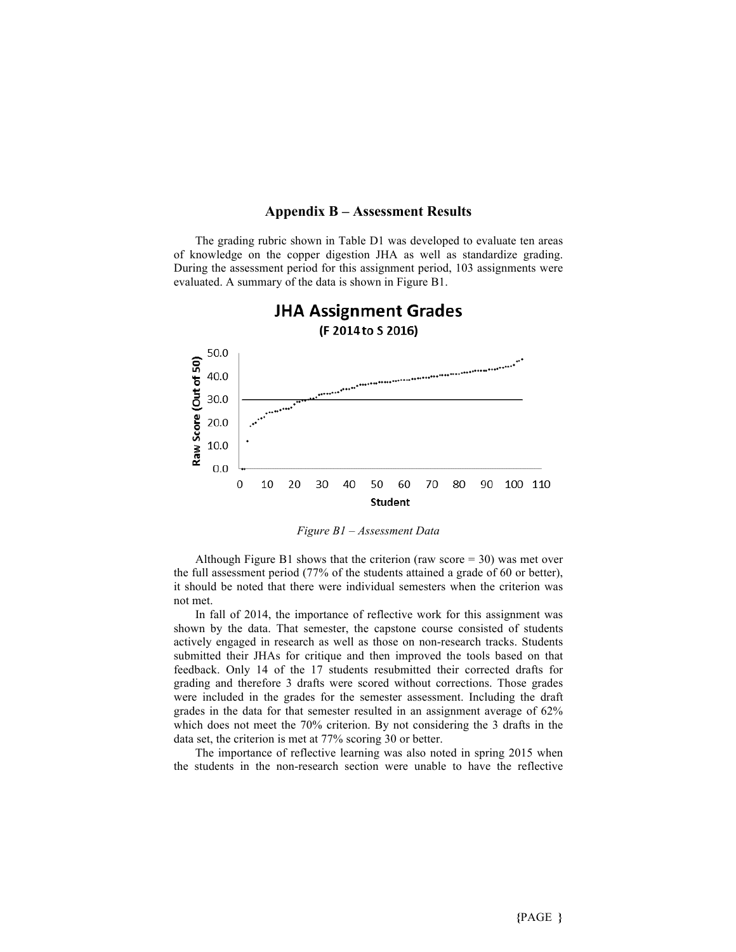### **Appendix B – Assessment Results**

The grading rubric shown in Table D1 was developed to evaluate ten areas of knowledge on the copper digestion JHA as well as standardize grading. During the assessment period for this assignment period, 103 assignments were evaluated. A summary of the data is shown in Figure B1.



*Figure B1 – Assessment Data*

Although Figure B1 shows that the criterion (raw score  $=$  30) was met over the full assessment period (77% of the students attained a grade of 60 or better), it should be noted that there were individual semesters when the criterion was not met.

In fall of 2014, the importance of reflective work for this assignment was shown by the data. That semester, the capstone course consisted of students actively engaged in research as well as those on non-research tracks. Students submitted their JHAs for critique and then improved the tools based on that feedback. Only 14 of the 17 students resubmitted their corrected drafts for grading and therefore 3 drafts were scored without corrections. Those grades were included in the grades for the semester assessment. Including the draft grades in the data for that semester resulted in an assignment average of 62% which does not meet the 70% criterion. By not considering the 3 drafts in the data set, the criterion is met at 77% scoring 30 or better.

The importance of reflective learning was also noted in spring 2015 when the students in the non-research section were unable to have the reflective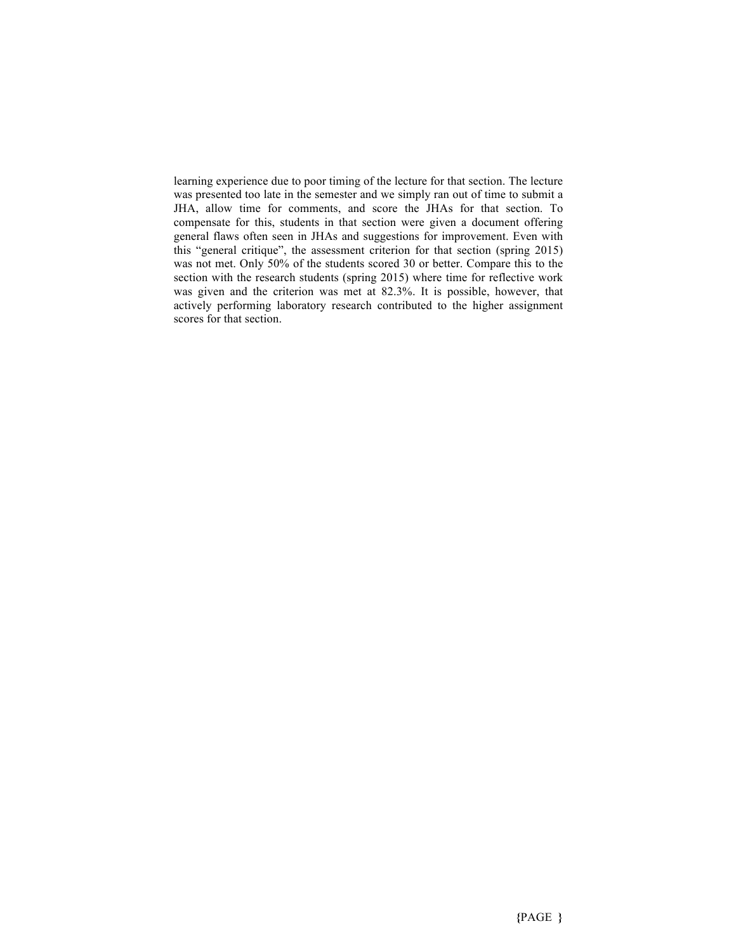learning experience due to poor timing of the lecture for that section. The lecture was presented too late in the semester and we simply ran out of time to submit a JHA, allow time for comments, and score the JHAs for that section. To compensate for this, students in that section were given a document offering general flaws often seen in JHAs and suggestions for improvement. Even with this "general critique", the assessment criterion for that section (spring 2015) was not met. Only 50% of the students scored 30 or better. Compare this to the section with the research students (spring 2015) where time for reflective work was given and the criterion was met at 82.3%. It is possible, however, that actively performing laboratory research contributed to the higher assignment scores for that section.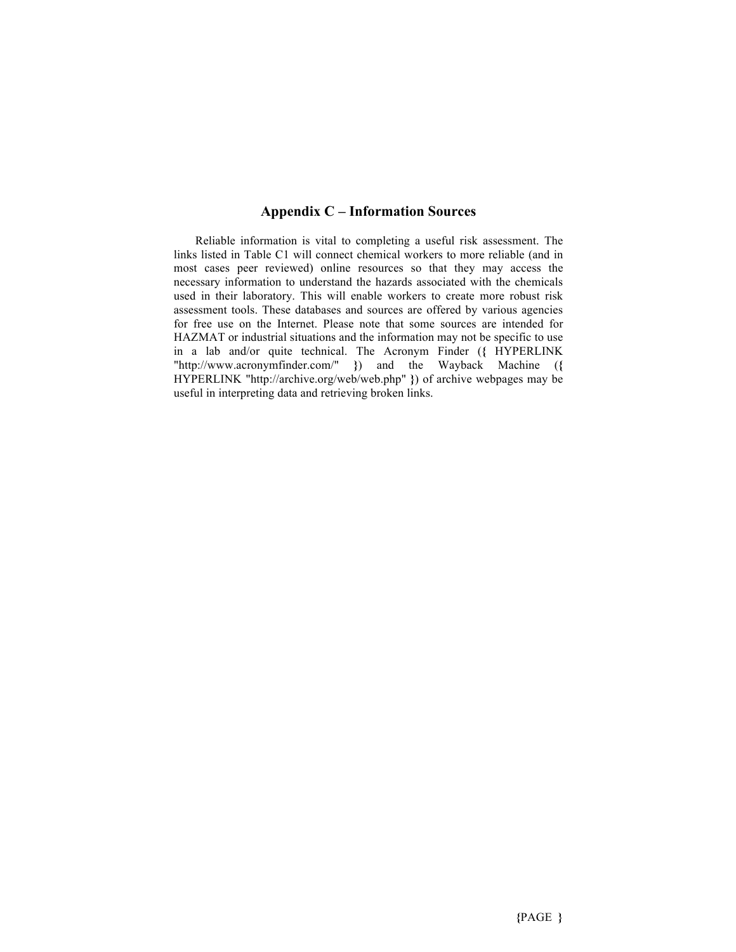## **Appendix C – Information Sources**

Reliable information is vital to completing a useful risk assessment. The links listed in Table C1 will connect chemical workers to more reliable (and in most cases peer reviewed) online resources so that they may access the necessary information to understand the hazards associated with the chemicals used in their laboratory. This will enable workers to create more robust risk assessment tools. These databases and sources are offered by various agencies for free use on the Internet. Please note that some sources are intended for HAZMAT or industrial situations and the information may not be specific to use in a lab and/or quite technical. The Acronym Finder (**{** HYPERLINK "http://www.acronymfinder.com/" **}**) and the Wayback Machine (**{** HYPERLINK "http://archive.org/web/web.php" **}**) of archive webpages may be useful in interpreting data and retrieving broken links.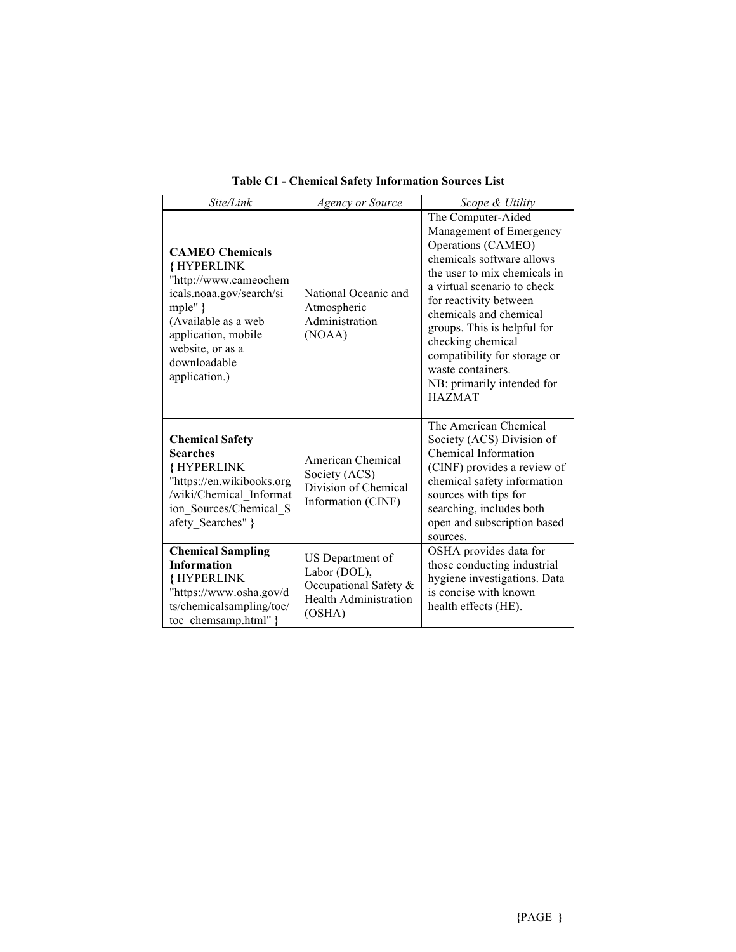| Site/Link                                                                                                                                                                                                      | <b>Agency or Source</b>                                                                             | Scope & Utility                                                                                                                                                                                                                                                                                                                                                             |
|----------------------------------------------------------------------------------------------------------------------------------------------------------------------------------------------------------------|-----------------------------------------------------------------------------------------------------|-----------------------------------------------------------------------------------------------------------------------------------------------------------------------------------------------------------------------------------------------------------------------------------------------------------------------------------------------------------------------------|
| <b>CAMEO</b> Chemicals<br><b>{HYPERLINK</b><br>"http://www.cameochem<br>icals.noaa.gov/search/si<br>mple" }<br>(Available as a web<br>application, mobile<br>website, or as a<br>downloadable<br>application.) | National Oceanic and<br>Atmospheric<br>Administration<br>(NOAA)                                     | The Computer-Aided<br>Management of Emergency<br>Operations (CAMEO)<br>chemicals software allows<br>the user to mix chemicals in<br>a virtual scenario to check<br>for reactivity between<br>chemicals and chemical<br>groups. This is helpful for<br>checking chemical<br>compatibility for storage or<br>waste containers.<br>NB: primarily intended for<br><b>HAZMAT</b> |
| <b>Chemical Safety</b><br><b>Searches</b><br><b>{HYPERLINK</b><br>"https://en.wikibooks.org<br>/wiki/Chemical Informat<br>ion_Sources/Chemical S<br>afety Searches" }                                          | American Chemical<br>Society (ACS)<br>Division of Chemical<br>Information (CINF)                    | The American Chemical<br>Society (ACS) Division of<br>Chemical Information<br>(CINF) provides a review of<br>chemical safety information<br>sources with tips for<br>searching, includes both<br>open and subscription based<br>sources.                                                                                                                                    |
| <b>Chemical Sampling</b><br><b>Information</b><br><b>{HYPERLINK</b><br>"https://www.osha.gov/d<br>ts/chemicalsampling/toc/<br>toc chemsamp.html" }                                                             | US Department of<br>Labor (DOL),<br>Occupational Safety &<br><b>Health Administration</b><br>(OSHA) | OSHA provides data for<br>those conducting industrial<br>hygiene investigations. Data<br>is concise with known<br>health effects (HE).                                                                                                                                                                                                                                      |

| <b>Table C1 - Chemical Safety Information Sources List</b> |  |  |
|------------------------------------------------------------|--|--|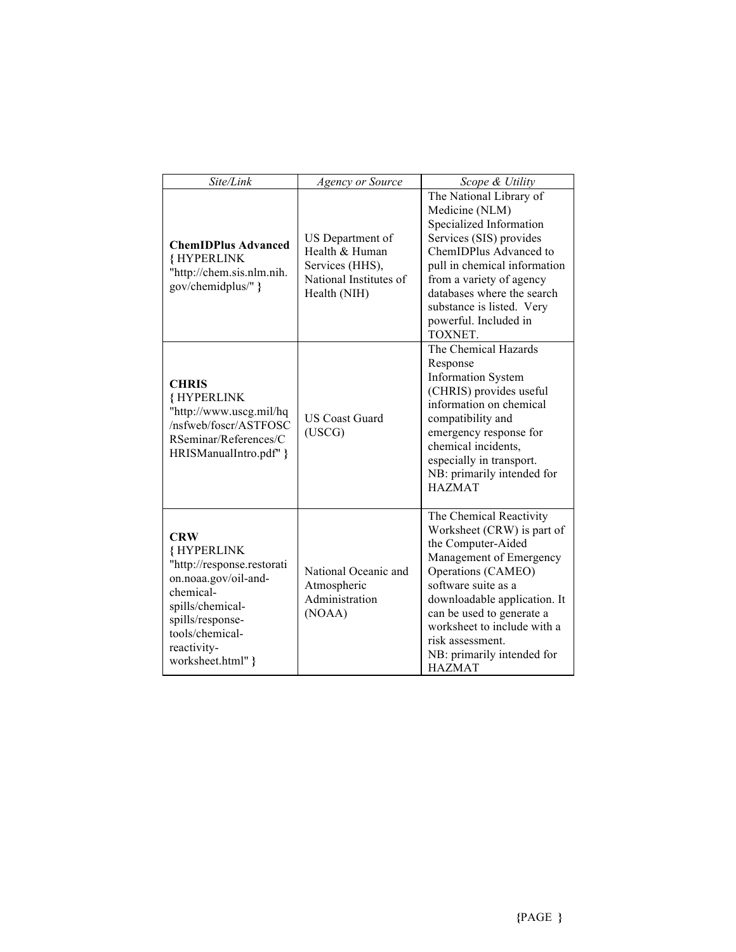| Site/Link                                                                                                                                                                                                                                                            | <b>Agency or Source</b>                                                                         | Scope & Utility                                                                                                                                                                                                                                                                                                    |
|----------------------------------------------------------------------------------------------------------------------------------------------------------------------------------------------------------------------------------------------------------------------|-------------------------------------------------------------------------------------------------|--------------------------------------------------------------------------------------------------------------------------------------------------------------------------------------------------------------------------------------------------------------------------------------------------------------------|
|                                                                                                                                                                                                                                                                      |                                                                                                 |                                                                                                                                                                                                                                                                                                                    |
| <b>ChemIDPlus Advanced</b><br><b>{HYPERLINK</b><br>"http://chem.sis.nlm.nih.<br>gov/chemidplus/" }                                                                                                                                                                   | US Department of<br>Health & Human<br>Services (HHS),<br>National Institutes of<br>Health (NIH) | The National Library of<br>Medicine (NLM)<br>Specialized Information<br>Services (SIS) provides<br>ChemIDPlus Advanced to<br>pull in chemical information<br>from a variety of agency<br>databases where the search<br>substance is listed. Very<br>powerful. Included in<br>TOXNET.                               |
| <b>CHRIS</b><br><b>{HYPERLINK</b><br>"http://www.uscg.mil/hq<br>/nsfweb/foscr/ASTFOSC<br>RSeminar/References/C<br>HRISManualIntro.pdf" }                                                                                                                             | <b>US Coast Guard</b><br>(USCG)                                                                 | The Chemical Hazards<br>Response<br><b>Information System</b><br>(CHRIS) provides useful<br>information on chemical<br>compatibility and<br>emergency response for<br>chemical incidents,<br>especially in transport.<br>NB: primarily intended for<br><b>HAZMAT</b>                                               |
| <b>CRW</b><br><b>{HYPERLINK</b><br>"http://response.restorati<br>National Oceanic and<br>on.noaa.gov/oil-and-<br>Atmospheric<br>chemical-<br>Administration<br>spills/chemical-<br>(NOAA)<br>spills/response-<br>tools/chemical-<br>reactivity-<br>worksheet.html" } |                                                                                                 | The Chemical Reactivity<br>Worksheet (CRW) is part of<br>the Computer-Aided<br>Management of Emergency<br>Operations (CAMEO)<br>software suite as a<br>downloadable application. It<br>can be used to generate a<br>worksheet to include with a<br>risk assessment.<br>NB: primarily intended for<br><b>HAZMAT</b> |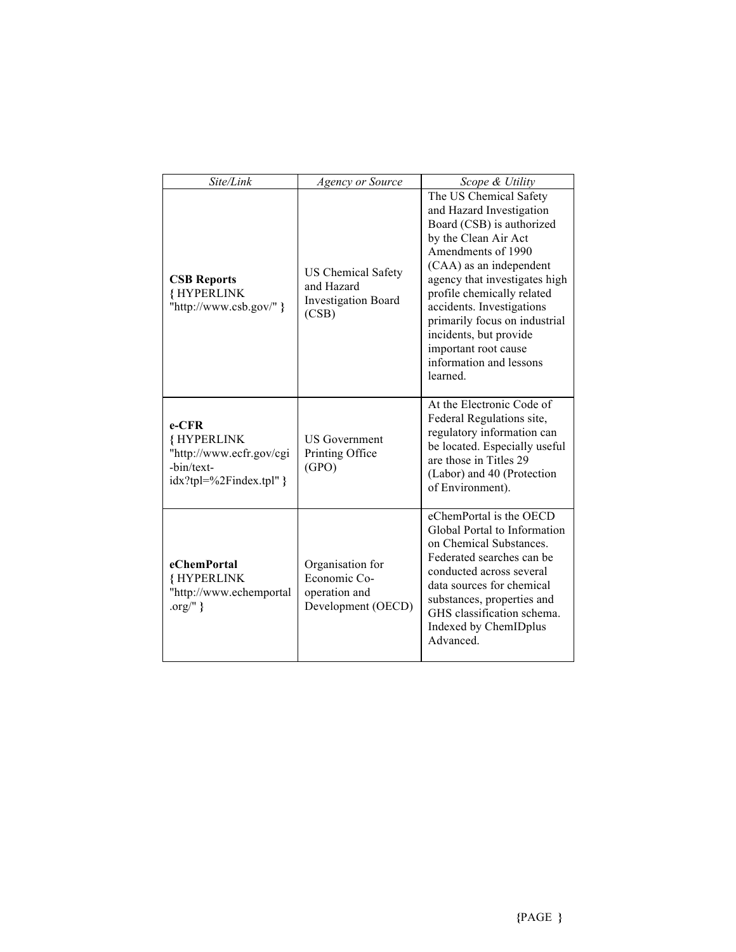| Site/Link                                                                                             | <b>Agency or Source</b>                                                        | Scope & Utility                                                                                                                                                                                                                                                                                                                                                                |
|-------------------------------------------------------------------------------------------------------|--------------------------------------------------------------------------------|--------------------------------------------------------------------------------------------------------------------------------------------------------------------------------------------------------------------------------------------------------------------------------------------------------------------------------------------------------------------------------|
| <b>CSB Reports</b><br><b>{HYPERLINK</b><br>"http://www.csb.gov/" }                                    | <b>US Chemical Safety</b><br>and Hazard<br><b>Investigation Board</b><br>(CSB) | The US Chemical Safety<br>and Hazard Investigation<br>Board (CSB) is authorized<br>by the Clean Air Act<br>Amendments of 1990<br>(CAA) as an independent<br>agency that investigates high<br>profile chemically related<br>accidents. Investigations<br>primarily focus on industrial<br>incidents, but provide<br>important root cause<br>information and lessons<br>learned. |
| $e$ -CFR<br><b>{HYPERLINK</b><br>"http://www.ecfr.gov/cgi<br>-bin/text-<br>$idx?$ tpl=%2Findex.tpl" } | <b>US Government</b><br>Printing Office<br>(GPO)                               | At the Electronic Code of<br>Federal Regulations site,<br>regulatory information can<br>be located. Especially useful<br>are those in Titles 29<br>(Labor) and 40 (Protection<br>of Environment).                                                                                                                                                                              |
| <b>eChemPortal</b><br><b>{HYPERLINK</b><br>"http://www.echemportal<br>.org/ $\$ }                     | Organisation for<br>Economic Co-<br>operation and<br>Development (OECD)        | eChemPortal is the OECD<br>Global Portal to Information<br>on Chemical Substances.<br>Federated searches can be<br>conducted across several<br>data sources for chemical<br>substances, properties and<br>GHS classification schema.<br>Indexed by ChemIDplus<br>Advanced.                                                                                                     |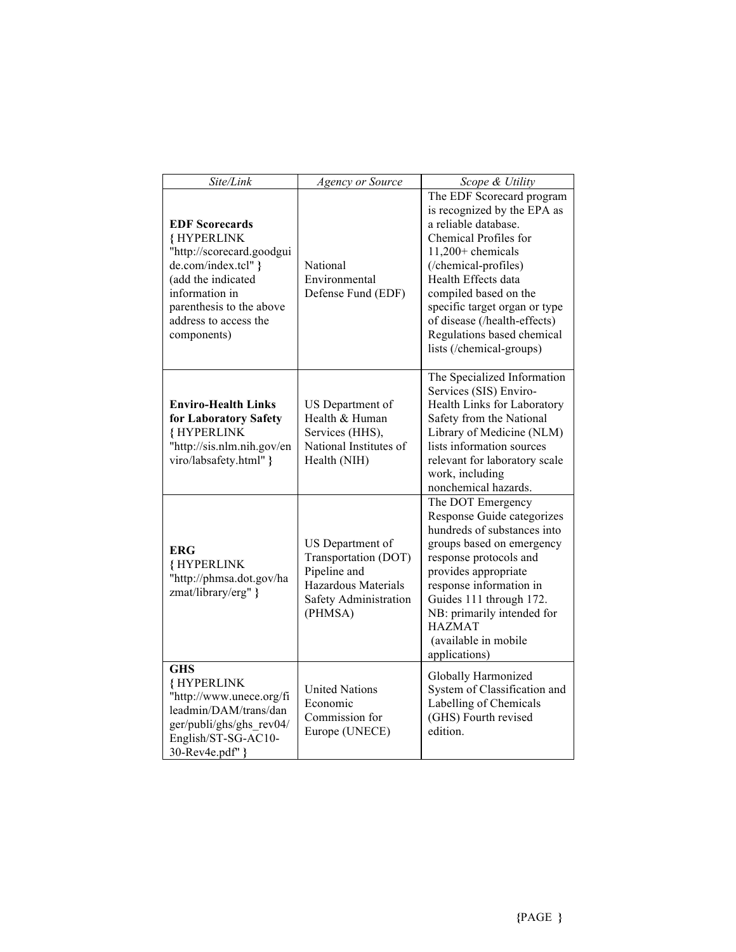| Site/Link                                                                                                                                                                                                  | <b>Agency or Source</b>                                                                                                    | Scope & Utility                                                                                                                                                                                                                                                                                                                     |
|------------------------------------------------------------------------------------------------------------------------------------------------------------------------------------------------------------|----------------------------------------------------------------------------------------------------------------------------|-------------------------------------------------------------------------------------------------------------------------------------------------------------------------------------------------------------------------------------------------------------------------------------------------------------------------------------|
| <b>EDF</b> Scorecards<br><b>{HYPERLINK</b><br>"http://scorecard.goodgui<br>de.com/index.tcl" }<br>(add the indicated<br>information in<br>parenthesis to the above<br>address to access the<br>components) | National<br>Environmental<br>Defense Fund (EDF)                                                                            | The EDF Scorecard program<br>is recognized by the EPA as<br>a reliable database.<br>Chemical Profiles for<br>$11,200+$ chemicals<br>(/chemical-profiles)<br>Health Effects data<br>compiled based on the<br>specific target organ or type<br>of disease (/health-effects)<br>Regulations based chemical<br>lists (/chemical-groups) |
| <b>Enviro-Health Links</b><br>for Laboratory Safety<br><b>{HYPERLINK</b><br>"http://sis.nlm.nih.gov/en<br>viro/labsafety.html" }                                                                           | US Department of<br>Health & Human<br>Services (HHS),<br>National Institutes of<br>Health (NIH)                            | The Specialized Information<br>Services (SIS) Enviro-<br>Health Links for Laboratory<br>Safety from the National<br>Library of Medicine (NLM)<br>lists information sources<br>relevant for laboratory scale<br>work, including<br>nonchemical hazards.                                                                              |
| <b>ERG</b><br><b>{HYPERLINK</b><br>"http://phmsa.dot.gov/ha<br>zmat/library/erg" }                                                                                                                         | US Department of<br>Transportation (DOT)<br>Pipeline and<br><b>Hazardous Materials</b><br>Safety Administration<br>(PHMSA) | The DOT Emergency<br>Response Guide categorizes<br>hundreds of substances into<br>groups based on emergency<br>response protocols and<br>provides appropriate<br>response information in<br>Guides 111 through 172.<br>NB: primarily intended for<br><b>HAZMAT</b><br>(available in mobile<br>applications)                         |
| <b>GHS</b><br><b>{HYPERLINK</b><br>"http://www.unece.org/fi<br>leadmin/DAM/trans/dan<br>ger/publi/ghs/ghs rev04/<br>English/ST-SG-AC10-<br>30-Rev4e.pdf" }                                                 | <b>United Nations</b><br>Economic<br>Commission for<br>Europe (UNECE)                                                      | Globally Harmonized<br>System of Classification and<br>Labelling of Chemicals<br>(GHS) Fourth revised<br>edition.                                                                                                                                                                                                                   |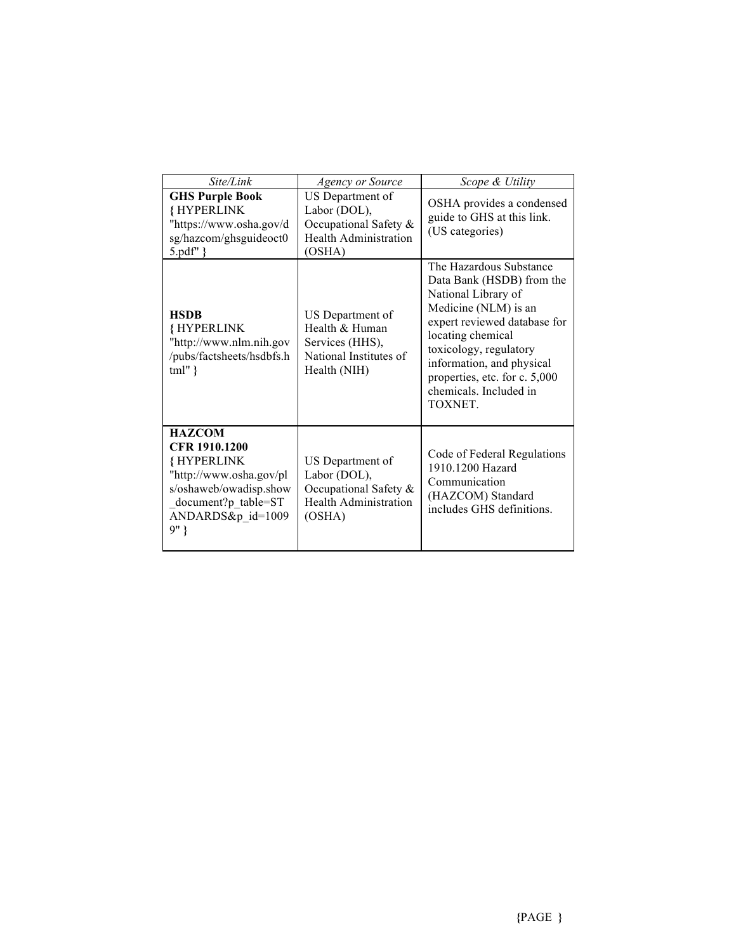| Site/Link                                                                                                                                                    | <i>Agency or Source</i>                                                                             | Scope & Utility                                                                                                                                                                                                                                                                             |
|--------------------------------------------------------------------------------------------------------------------------------------------------------------|-----------------------------------------------------------------------------------------------------|---------------------------------------------------------------------------------------------------------------------------------------------------------------------------------------------------------------------------------------------------------------------------------------------|
| <b>GHS Purple Book</b><br><b>{HYPERLINK</b><br>"https://www.osha.gov/d<br>sg/hazcom/ghsguideoct0<br>5.pdf" }                                                 | US Department of<br>Labor (DOL),<br>Occupational Safety &<br><b>Health Administration</b><br>(OSHA) | OSHA provides a condensed<br>guide to GHS at this link.<br>(US categories)                                                                                                                                                                                                                  |
| <b>HSDB</b><br><b>{HYPERLINK</b><br>"http://www.nlm.nih.gov<br>/pubs/factsheets/hsdbfs.h<br>$tml''$ }                                                        | US Department of<br>Health & Human<br>Services (HHS),<br>National Institutes of<br>Health (NIH)     | The Hazardous Substance<br>Data Bank (HSDB) from the<br>National Library of<br>Medicine (NLM) is an<br>expert reviewed database for<br>locating chemical<br>toxicology, regulatory<br>information, and physical<br>properties, etc. for c. 5,000<br>chemicals. Included in<br><b>TOXNET</b> |
| <b>HAZCOM</b><br>CFR 1910.1200<br><b>{HYPERLINK</b><br>"http://www.osha.gov/pl<br>s/oshaweb/owadisp.show<br>document?p table=ST<br>ANDARDS&p id=1009<br>9" } | US Department of<br>Labor (DOL),<br>Occupational Safety &<br><b>Health Administration</b><br>(OSHA) | Code of Federal Regulations<br>1910.1200 Hazard<br>Communication<br>(HAZCOM) Standard<br>includes GHS definitions.                                                                                                                                                                          |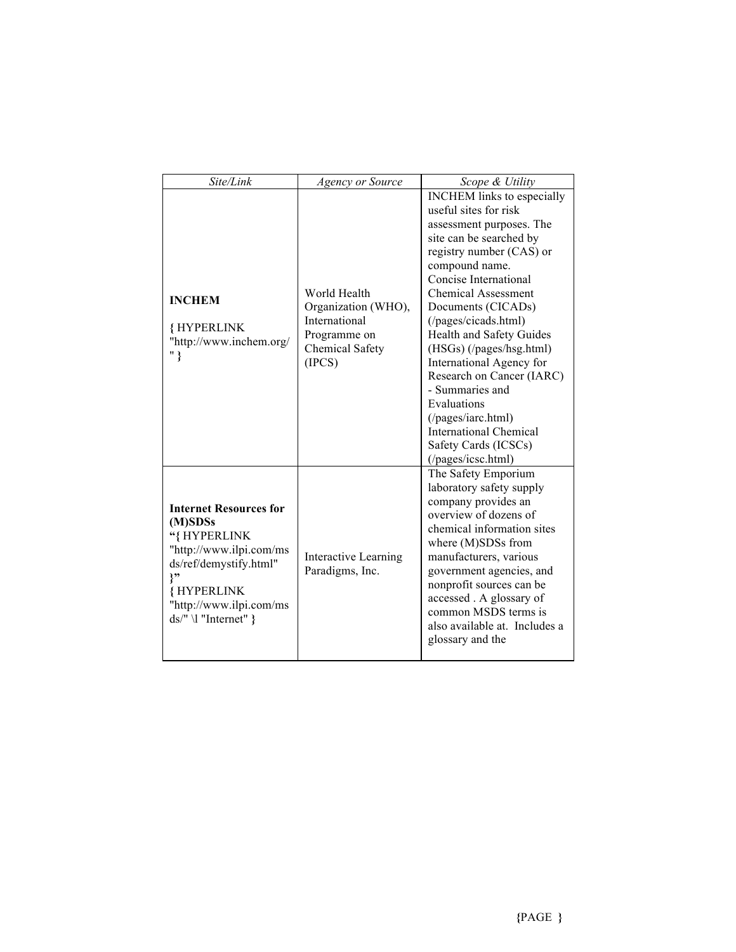| Site/Link                                                                                                                                                                                    | <b>Agency or Source</b>                                                                           | Scope & Utility                                                                                                                                                                                                                                                                                                                                                                                                                                                                                                       |
|----------------------------------------------------------------------------------------------------------------------------------------------------------------------------------------------|---------------------------------------------------------------------------------------------------|-----------------------------------------------------------------------------------------------------------------------------------------------------------------------------------------------------------------------------------------------------------------------------------------------------------------------------------------------------------------------------------------------------------------------------------------------------------------------------------------------------------------------|
| <b>INCHEM</b><br><b>{HYPERLINK</b><br>"http://www.inchem.org/<br>" }                                                                                                                         | World Health<br>Organization (WHO),<br>International<br>Programme on<br>Chemical Safety<br>(IPCS) | INCHEM links to especially<br>useful sites for risk<br>assessment purposes. The<br>site can be searched by<br>registry number (CAS) or<br>compound name.<br>Concise International<br><b>Chemical Assessment</b><br>Documents (CICADs)<br>(/pages/cicads.html)<br>Health and Safety Guides<br>(HSGs) (/pages/hsg.html)<br>International Agency for<br>Research on Cancer (IARC)<br>- Summaries and<br>Evaluations<br>(/pages/iarc.html)<br><b>International Chemical</b><br>Safety Cards (ICSCs)<br>(/pages/icsc.html) |
| <b>Internet Resources for</b><br>(M)SDSs<br>"{HYPERLINK<br>"http://www.ilpi.com/ms<br>ds/ref/demystify.html"<br>}"<br><b>{HYPERLINK</b><br>"http://www.ilpi.com/ms<br>$ds''$ \l "Internet" } | Interactive Learning<br>Paradigms, Inc.                                                           | The Safety Emporium<br>laboratory safety supply<br>company provides an<br>overview of dozens of<br>chemical information sites<br>where (M)SDSs from<br>manufacturers, various<br>government agencies, and<br>nonprofit sources can be<br>accessed. A glossary of<br>common MSDS terms is<br>also available at. Includes a<br>glossary and the                                                                                                                                                                         |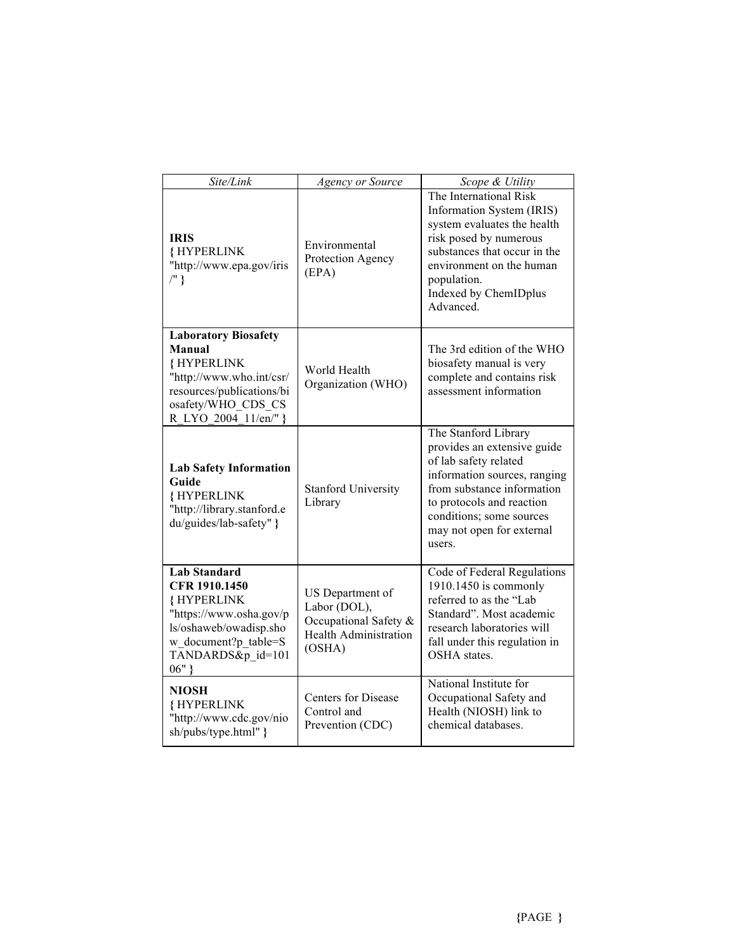| Site/Link                                                                                                                                                                 | <b>Agency or Source</b>                                                                             | Scope & Utility                                                                                                                                                                                                                            |
|---------------------------------------------------------------------------------------------------------------------------------------------------------------------------|-----------------------------------------------------------------------------------------------------|--------------------------------------------------------------------------------------------------------------------------------------------------------------------------------------------------------------------------------------------|
| <b>IRIS</b><br><b>{HYPERLINK</b><br>"http://www.epa.gov/iris<br>/" }                                                                                                      | Environmental<br>Protection Agency<br>(EPA)                                                         | The International Risk<br>Information System (IRIS)<br>system evaluates the health<br>risk posed by numerous<br>substances that occur in the<br>environment on the human<br>population.<br>Indexed by ChemIDplus<br>Advanced.              |
| <b>Laboratory Biosafety</b><br>Manual<br><b>{HYPERLINK</b><br>"http://www.who.int/csr/<br>resources/publications/bi<br>osafety/WHO CDS CS<br>R LYO 2004 11/en/" }         | World Health<br>Organization (WHO)                                                                  | The 3rd edition of the WHO<br>biosafety manual is very<br>complete and contains risk<br>assessment information                                                                                                                             |
| <b>Lab Safety Information</b><br>Guide<br><b>{HYPERLINK</b><br>"http://library.stanford.e<br>du/guides/lab-safety" }                                                      | <b>Stanford University</b><br>Library                                                               | The Stanford Library<br>provides an extensive guide<br>of lab safety related<br>information sources, ranging<br>from substance information<br>to protocols and reaction<br>conditions; some sources<br>may not open for external<br>users. |
| <b>Lab Standard</b><br><b>CFR 1910.1450</b><br><b>{HYPERLINK</b><br>"https://www.osha.gov/p<br>ls/oshaweb/owadisp.sho<br>w document?p table=S<br>TANDARDS&p id=101<br>06" | US Department of<br>Labor (DOL),<br>Occupational Safety &<br><b>Health Administration</b><br>(OSHA) | Code of Federal Regulations<br>1910.1450 is commonly<br>referred to as the "Lab<br>Standard". Most academic<br>research laboratories will<br>fall under this regulation in<br>OSHA states.                                                 |
| NIOSH<br><b>{HYPERLINK</b><br>"http://www.cdc.gov/nio<br>sh/pubs/type.html" }                                                                                             | <b>Centers for Disease</b><br>Control and<br>Prevention (CDC)                                       | National Institute for<br>Occupational Safety and<br>Health (NIOSH) link to<br>chemical databases.                                                                                                                                         |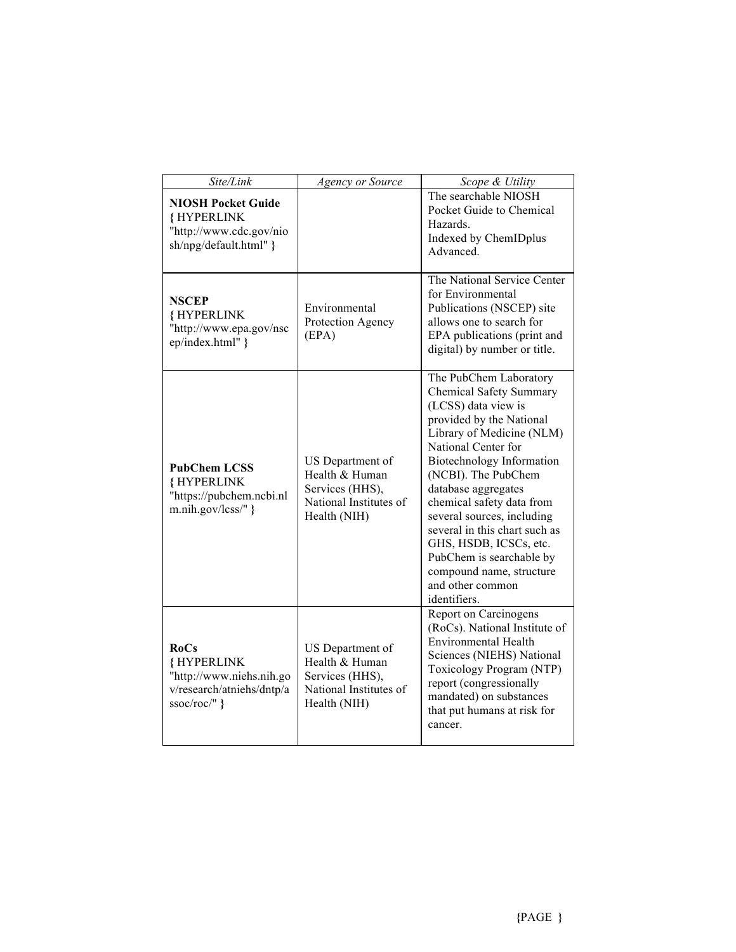| Site/Link                                                                                           | <b>Agency or Source</b>                                                                         | Scope & Utility                                                                                                                                                                                                                                                                                                                                                                                                                                       |
|-----------------------------------------------------------------------------------------------------|-------------------------------------------------------------------------------------------------|-------------------------------------------------------------------------------------------------------------------------------------------------------------------------------------------------------------------------------------------------------------------------------------------------------------------------------------------------------------------------------------------------------------------------------------------------------|
| <b>NIOSH Pocket Guide</b><br><b>{HYPERLINK</b><br>"http://www.cdc.gov/nio<br>sh/npg/default.html" } |                                                                                                 | The searchable NIOSH<br>Pocket Guide to Chemical<br>Hazards.<br>Indexed by ChemIDplus<br>Advanced.                                                                                                                                                                                                                                                                                                                                                    |
| <b>NSCEP</b><br><b>{HYPERLINK</b><br>"http://www.epa.gov/nsc<br>ep/index.html" }                    | Environmental<br>Protection Agency<br>(EPA)                                                     | The National Service Center<br>for Environmental<br>Publications (NSCEP) site<br>allows one to search for<br>EPA publications (print and<br>digital) by number or title.                                                                                                                                                                                                                                                                              |
| <b>PubChem LCSS</b><br><b>{HYPERLINK</b><br>"https://pubchem.ncbi.nl<br>m.nih.gov/lcss/" }          | US Department of<br>Health & Human<br>Services (HHS),<br>National Institutes of<br>Health (NIH) | The PubChem Laboratory<br>Chemical Safety Summary<br>(LCSS) data view is<br>provided by the National<br>Library of Medicine (NLM)<br>National Center for<br>Biotechnology Information<br>(NCBI). The PubChem<br>database aggregates<br>chemical safety data from<br>several sources, including<br>several in this chart such as<br>GHS, HSDB, ICSCs, etc.<br>PubChem is searchable by<br>compound name, structure<br>and other common<br>identifiers. |
| RoCs<br><b>{HYPERLINK</b><br>"http://www.niehs.nih.go<br>v/research/atniehs/dntp/a<br>ssoc/roc/" }  | US Department of<br>Health & Human<br>Services (HHS),<br>National Institutes of<br>Health (NIH) | <b>Report on Carcinogens</b><br>(RoCs). National Institute of<br><b>Environmental Health</b><br>Sciences (NIEHS) National<br>Toxicology Program (NTP)<br>report (congressionally<br>mandated) on substances<br>that put humans at risk for<br>cancer.                                                                                                                                                                                                 |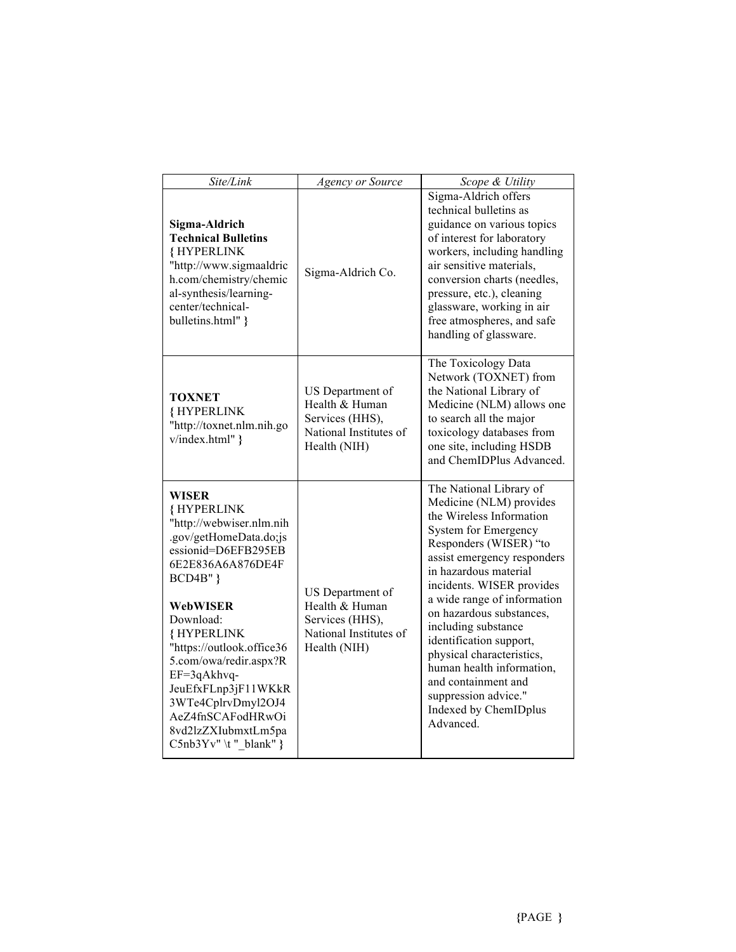| Site/Link                                                                                                                                                                                                                                           | Agency or Source                                                                                | Scope & Utility                                                                                                                                                                                                                                                                                                        |
|-----------------------------------------------------------------------------------------------------------------------------------------------------------------------------------------------------------------------------------------------------|-------------------------------------------------------------------------------------------------|------------------------------------------------------------------------------------------------------------------------------------------------------------------------------------------------------------------------------------------------------------------------------------------------------------------------|
| Sigma-Aldrich<br><b>Technical Bulletins</b><br><b>{HYPERLINK</b><br>"http://www.sigmaaldric<br>h.com/chemistry/chemic<br>al-synthesis/learning-<br>center/technical-<br>bulletins.html" }                                                           | Sigma-Aldrich Co.                                                                               | Sigma-Aldrich offers<br>technical bulletins as<br>guidance on various topics<br>of interest for laboratory<br>workers, including handling<br>air sensitive materials,<br>conversion charts (needles,<br>pressure, etc.), cleaning<br>glassware, working in air<br>free atmospheres, and safe<br>handling of glassware. |
| TOXNET<br><b>{HYPERLINK</b><br>"http://toxnet.nlm.nih.go<br>v/index.html" }                                                                                                                                                                         | US Department of<br>Health & Human<br>Services (HHS),<br>National Institutes of<br>Health (NIH) | The Toxicology Data<br>Network (TOXNET) from<br>the National Library of<br>Medicine (NLM) allows one<br>to search all the major<br>toxicology databases from<br>one site, including HSDB<br>and ChemIDPlus Advanced.                                                                                                   |
| WISER<br><b>{HYPERLINK</b><br>"http://webwiser.nlm.nih<br>.gov/getHomeData.do;js<br>essionid=D6EFB295EB<br>6E2E836A6A876DE4F<br><b>BCD4B"</b> }                                                                                                     | US Department of                                                                                | The National Library of<br>Medicine (NLM) provides<br>the Wireless Information<br>System for Emergency<br>Responders (WISER) "to<br>assist emergency responders<br>in hazardous material<br>incidents. WISER provides                                                                                                  |
| <b>WebWISER</b><br>Download:<br><b>{HYPERLINK</b><br>"https://outlook.office36<br>5.com/owa/redir.aspx?R<br>$EF = 3qAkhvq -$<br>JeuEfxFLnp3jF11WKkR<br>3WTe4CplrvDmyl2OJ4<br>AeZ4fnSCAFodHRwOi<br>8vd2lzZXIubmxtLm5pa<br>$C5nb3Yv'' \t' 'blank''$ } | Health & Human<br>Services (HHS),<br>National Institutes of<br>Health (NIH)                     | a wide range of information<br>on hazardous substances,<br>including substance<br>identification support,<br>physical characteristics,<br>human health information,<br>and containment and<br>suppression advice."<br>Indexed by ChemIDplus<br>Advanced.                                                               |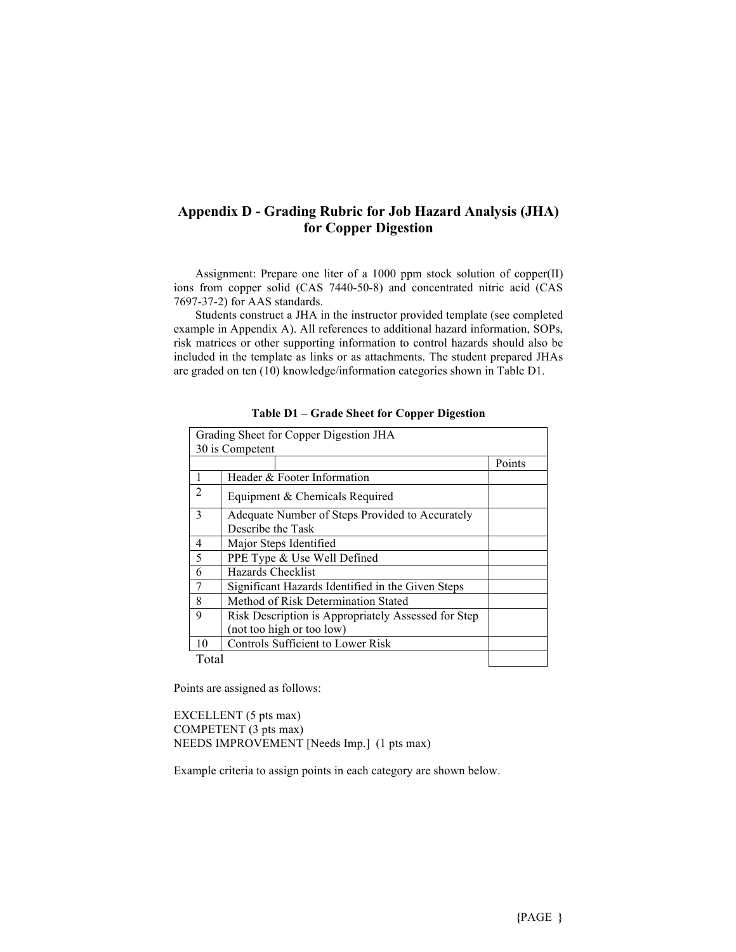## **Appendix D - Grading Rubric for Job Hazard Analysis (JHA) for Copper Digestion**

Assignment: Prepare one liter of a 1000 ppm stock solution of copper(II) ions from copper solid (CAS 7440-50-8) and concentrated nitric acid (CAS 7697-37-2) for AAS standards.

Students construct a JHA in the instructor provided template (see completed example in Appendix A). All references to additional hazard information, SOPs, risk matrices or other supporting information to control hazards should also be included in the template as links or as attachments. The student prepared JHAs are graded on ten (10) knowledge/information categories shown in Table D1.

| Grading Sheet for Copper Digestion JHA |                                                     |        |
|----------------------------------------|-----------------------------------------------------|--------|
| 30 is Competent                        |                                                     |        |
|                                        |                                                     | Points |
| 1                                      | Header & Footer Information                         |        |
| $\overline{2}$                         | Equipment & Chemicals Required                      |        |
| $\mathcal{E}$                          | Adequate Number of Steps Provided to Accurately     |        |
|                                        | Describe the Task                                   |        |
| 4                                      | Major Steps Identified                              |        |
| 5                                      | PPE Type & Use Well Defined                         |        |
| 6                                      | Hazards Checklist                                   |        |
| 7                                      | Significant Hazards Identified in the Given Steps   |        |
| 8                                      | Method of Risk Determination Stated                 |        |
| 9                                      | Risk Description is Appropriately Assessed for Step |        |
|                                        | (not too high or too low)                           |        |
| 10                                     | Controls Sufficient to Lower Risk                   |        |
| Total                                  |                                                     |        |

**Table D1 – Grade Sheet for Copper Digestion**

Points are assigned as follows:

EXCELLENT (5 pts max) COMPETENT (3 pts max) NEEDS IMPROVEMENT [Needs Imp.] (1 pts max)

Example criteria to assign points in each category are shown below.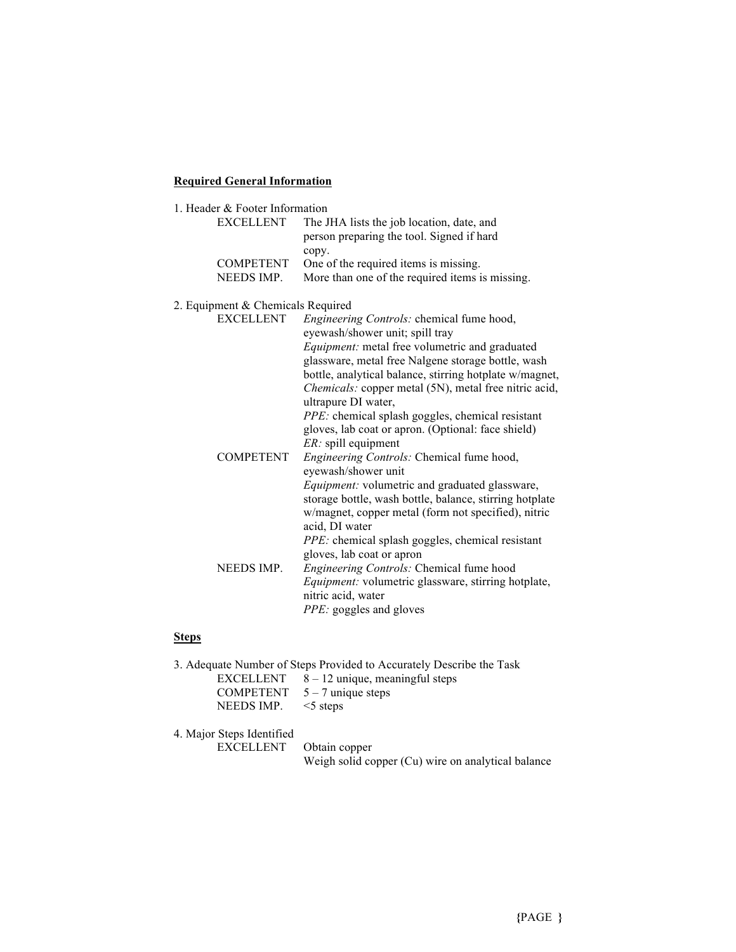#### **Required General Information**

1. Header & Footer Information EXCELLENT The JHA lists the job location, date, and person preparing the tool. Signed if hard copy. COMPETENT One of the required items is missing. NEEDS IMP. More than one of the required items is missing. 2. Equipment & Chemicals Required EXCELLENT *Engineering Controls:* chemical fume hood, eyewash/shower unit; spill tray *Equipment:* metal free volumetric and graduated glassware, metal free Nalgene storage bottle, wash bottle, analytical balance, stirring hotplate w/magnet, *Chemicals:* copper metal (5N), metal free nitric acid, ultrapure DI water, *PPE:* chemical splash goggles, chemical resistant gloves, lab coat or apron. (Optional: face shield) *ER:* spill equipment COMPETENT *Engineering Controls:* Chemical fume hood, eyewash/shower unit *Equipment:* volumetric and graduated glassware, storage bottle, wash bottle, balance, stirring hotplate w/magnet, copper metal (form not specified), nitric acid, DI water *PPE:* chemical splash goggles, chemical resistant gloves, lab coat or apron NEEDS IMP. *Engineering Controls:* Chemical fume hood *Equipment:* volumetric glassware, stirring hotplate, nitric acid, water *PPE:* goggles and gloves

#### **Steps**

Weigh solid copper (Cu) wire on analytical balance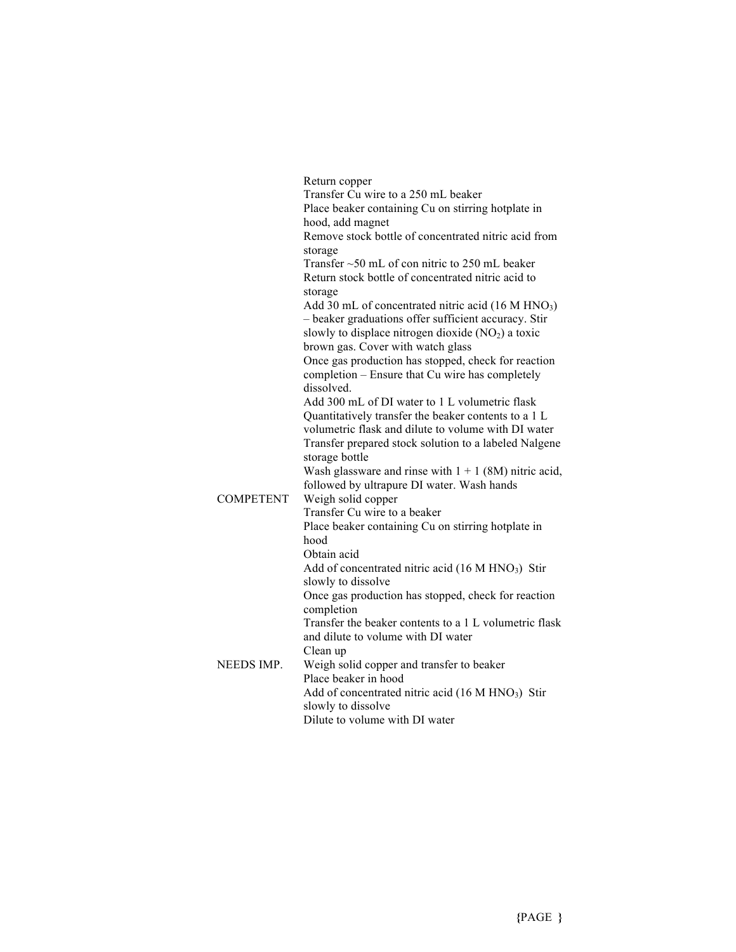|                  | Return copper                                                                                          |
|------------------|--------------------------------------------------------------------------------------------------------|
|                  | Transfer Cu wire to a 250 mL beaker                                                                    |
|                  | Place beaker containing Cu on stirring hotplate in                                                     |
|                  | hood, add magnet                                                                                       |
|                  | Remove stock bottle of concentrated nitric acid from                                                   |
|                  | storage                                                                                                |
|                  | Transfer $\sim$ 50 mL of con nitric to 250 mL beaker                                                   |
|                  | Return stock bottle of concentrated nitric acid to<br>storage                                          |
|                  | Add 30 mL of concentrated nitric acid $(16 M HNO3)$                                                    |
|                  | - beaker graduations offer sufficient accuracy. Stir                                                   |
|                  |                                                                                                        |
|                  | slowly to displace nitrogen dioxide $(NO2)$ a toxic                                                    |
|                  | brown gas. Cover with watch glass                                                                      |
|                  | Once gas production has stopped, check for reaction<br>completion – Ensure that Cu wire has completely |
|                  | dissolved.                                                                                             |
|                  | Add 300 mL of DI water to 1 L volumetric flask                                                         |
|                  | Quantitatively transfer the beaker contents to a 1 L                                                   |
|                  | volumetric flask and dilute to volume with DI water                                                    |
|                  | Transfer prepared stock solution to a labeled Nalgene<br>storage bottle                                |
|                  | Wash glassware and rinse with $1 + 1$ (8M) nitric acid,                                                |
|                  | followed by ultrapure DI water. Wash hands                                                             |
| <b>COMPETENT</b> | Weigh solid copper                                                                                     |
|                  | Transfer Cu wire to a beaker                                                                           |
|                  | Place beaker containing Cu on stirring hotplate in                                                     |
|                  | hood                                                                                                   |
|                  | Obtain acid                                                                                            |
|                  | Add of concentrated nitric acid (16 M HNO <sub>3</sub> ) Stir                                          |
|                  | slowly to dissolve                                                                                     |
|                  | Once gas production has stopped, check for reaction                                                    |
|                  | completion                                                                                             |
|                  | Transfer the beaker contents to a 1 L volumetric flask                                                 |
|                  | and dilute to volume with DI water                                                                     |
|                  | Clean up                                                                                               |
| NEEDS IMP.       | Weigh solid copper and transfer to beaker                                                              |
|                  | Place beaker in hood                                                                                   |
|                  | Add of concentrated nitric acid (16 M HNO <sub>3</sub> ) Stir                                          |
|                  | slowly to dissolve                                                                                     |
|                  | Dilute to volume with DI water                                                                         |
|                  |                                                                                                        |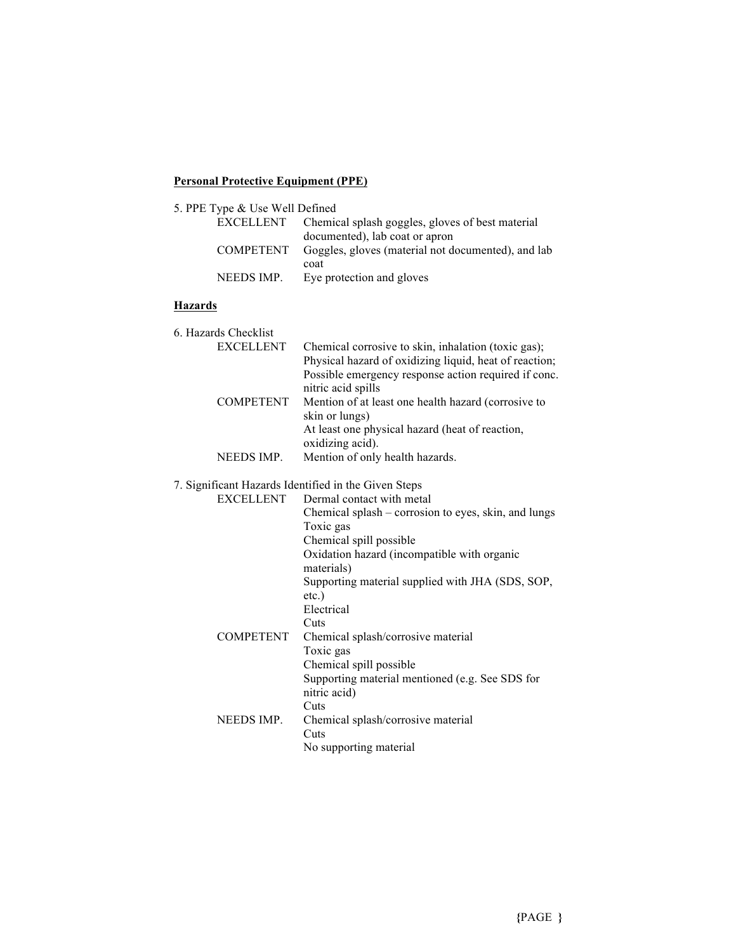# **Personal Protective Equipment (PPE)**

5. PPE Type & Use Well Defined

| <b>EXCELLENT</b> | Chemical splash goggles, gloves of best material   |
|------------------|----------------------------------------------------|
|                  | documented), lab coat or apron                     |
| COMPETENT        | Goggles, gloves (material not documented), and lab |
|                  | coat                                               |
| NEEDS IMP.       | Eye protection and gloves                          |

## **Hazards**

| 6. Hazards Checklist                                 |                                                                                                                                                                                             |  |
|------------------------------------------------------|---------------------------------------------------------------------------------------------------------------------------------------------------------------------------------------------|--|
| <b>EXCELLENT</b>                                     | Chemical corrosive to skin, inhalation (toxic gas);<br>Physical hazard of oxidizing liquid, heat of reaction;<br>Possible emergency response action required if conc.<br>nitric acid spills |  |
| <b>COMPETENT</b>                                     | Mention of at least one health hazard (corrosive to<br>skin or lungs)<br>At least one physical hazard (heat of reaction,<br>oxidizing acid).                                                |  |
| NEEDS IMP.                                           | Mention of only health hazards.                                                                                                                                                             |  |
| 7. Significant Hazards Identified in the Given Steps |                                                                                                                                                                                             |  |
| EXCELLENT                                            | Dermal contact with metal                                                                                                                                                                   |  |
|                                                      | Chemical splash – corrosion to eyes, skin, and lungs                                                                                                                                        |  |
|                                                      | Toxic gas                                                                                                                                                                                   |  |
|                                                      | Chemical spill possible                                                                                                                                                                     |  |
|                                                      | Oxidation hazard (incompatible with organic<br>materials)                                                                                                                                   |  |
|                                                      | Supporting material supplied with JHA (SDS, SOP,                                                                                                                                            |  |
|                                                      | $etc.$ )                                                                                                                                                                                    |  |
|                                                      | Electrical                                                                                                                                                                                  |  |
| <b>COMPETENT</b>                                     | Cuts                                                                                                                                                                                        |  |
|                                                      | Chemical splash/corrosive material<br>Toxic gas                                                                                                                                             |  |
|                                                      | Chemical spill possible                                                                                                                                                                     |  |
|                                                      | Supporting material mentioned (e.g. See SDS for                                                                                                                                             |  |
|                                                      | nitric acid)                                                                                                                                                                                |  |
|                                                      | Cuts                                                                                                                                                                                        |  |
| NEEDS IMP.                                           | Chemical splash/corrosive material                                                                                                                                                          |  |
|                                                      | Cuts                                                                                                                                                                                        |  |
|                                                      | No supporting material                                                                                                                                                                      |  |
|                                                      |                                                                                                                                                                                             |  |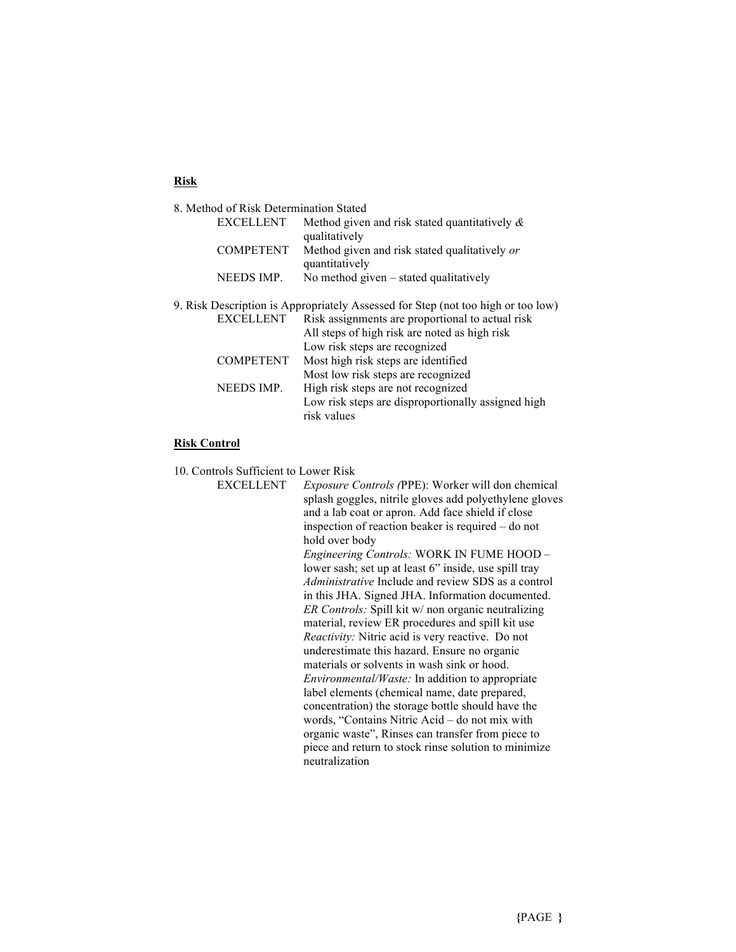#### **Risk**

8. Method of Risk Determination Stated

| EXCELLENT        | Method given and risk stated quantitatively $\&$                                 |
|------------------|----------------------------------------------------------------------------------|
|                  | qualitatively                                                                    |
| <b>COMPETENT</b> | Method given and risk stated qualitatively or                                    |
|                  | quantitatively                                                                   |
| NEEDS IMP.       | No method given – stated qualitatively                                           |
|                  |                                                                                  |
|                  | 9. Risk Description is Appropriately Assessed for Step (not too high or too low) |
| EXCELLENT        | Risk assignments are proportional to actual risk                                 |
|                  | All steps of high risk are noted as high risk                                    |

|                  | All steps of high risk are noted as high risk      |
|------------------|----------------------------------------------------|
|                  | Low risk steps are recognized                      |
| <b>COMPETENT</b> | Most high risk steps are identified                |
|                  | Most low risk steps are recognized                 |
| NEEDS IMP.       | High risk steps are not recognized                 |
|                  | Low risk steps are disproportionally assigned high |
|                  | risk values                                        |

#### **Risk Control**

10. Controls Sufficient to Lower Risk

EXCELLENT *Exposure Controls (*PPE): Worker will don chemical splash goggles, nitrile gloves add polyethylene gloves and a lab coat or apron. Add face shield if close inspection of reaction beaker is required – do not hold over body *Engineering Controls:* WORK IN FUME HOOD – lower sash; set up at least 6" inside, use spill tray *Administrative* Include and review SDS as a control in this JHA. Signed JHA. Information documented. *ER Controls:* Spill kit w/ non organic neutralizing material, review ER procedures and spill kit use *Reactivity:* Nitric acid is very reactive. Do not underestimate this hazard. Ensure no organic materials or solvents in wash sink or hood. *Environmental/Waste:* In addition to appropriate label elements (chemical name, date prepared, concentration) the storage bottle should have the words, "Contains Nitric Acid – do not mix with organic waste", Rinses can transfer from piece to piece and return to stock rinse solution to minimize neutralization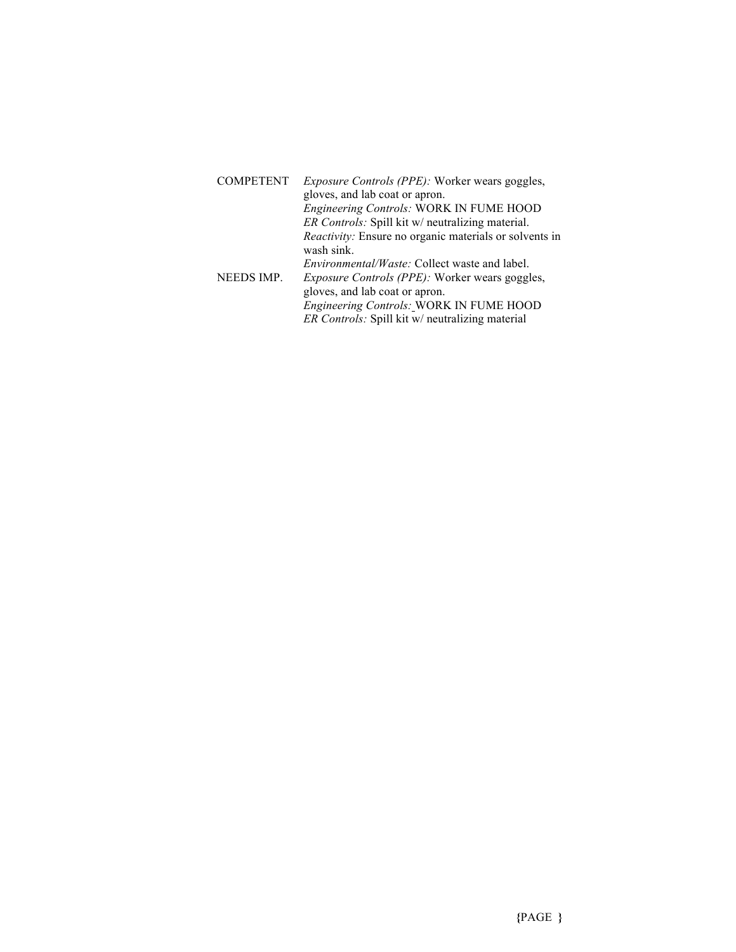| <b>COMPETENT</b> | <i>Exposure Controls (PPE):</i> Worker wears goggles,<br>gloves, and lab coat or apron.<br>Engineering Controls: WORK IN FUME HOOD |
|------------------|------------------------------------------------------------------------------------------------------------------------------------|
|                  | ER Controls: Spill kit w/ neutralizing material.                                                                                   |
|                  | <i>Reactivity:</i> Ensure no organic materials or solvents in                                                                      |
|                  | wash sink.                                                                                                                         |
|                  | <i>Environmental/Waste:</i> Collect waste and label.                                                                               |
| NEEDS IMP.       | Exposure Controls (PPE): Worker wears goggles,                                                                                     |
|                  | gloves, and lab coat or apron.                                                                                                     |
|                  | Engineering Controls: WORK IN FUME HOOD                                                                                            |
|                  | ER Controls: Spill kit w/ neutralizing material                                                                                    |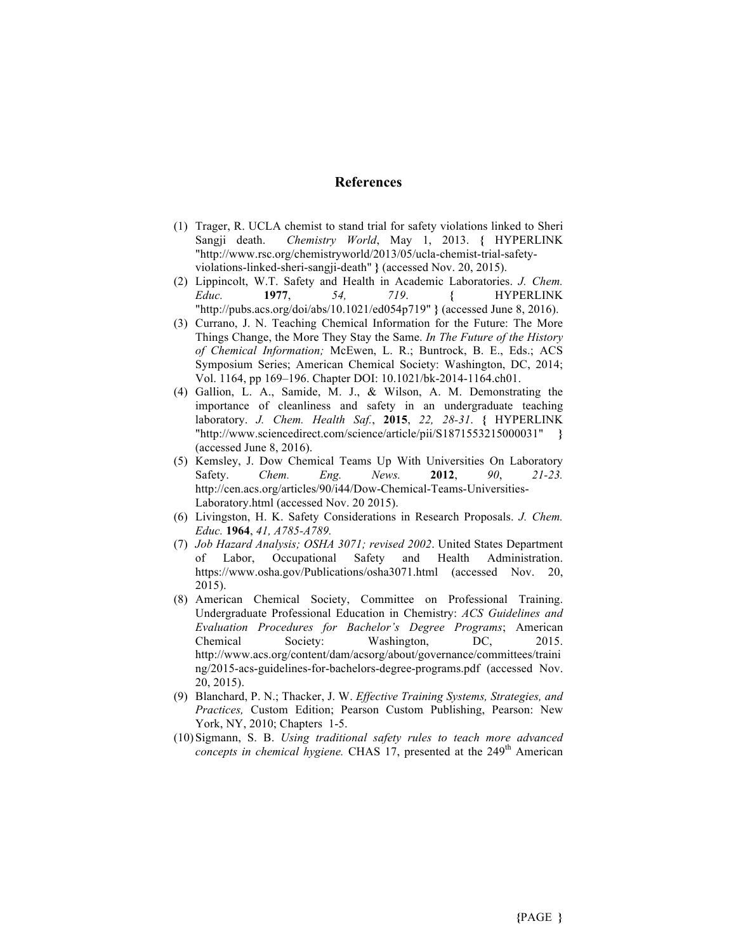#### **References**

- (1) Trager, R. UCLA chemist to stand trial for safety violations linked to Sheri Sangji death. *Chemistry World*, May 1, 2013. **{** HYPERLINK "http://www.rsc.org/chemistryworld/2013/05/ucla-chemist-trial-safetyviolations-linked-sheri-sangji-death" **}** (accessed Nov. 20, 2015).
- (2) Lippincolt, W.T. Safety and Health in Academic Laboratories. *J. Chem. Educ.* **1977**, *54, 719*. **{** HYPERLINK "http://pubs.acs.org/doi/abs/10.1021/ed054p719" **}** (accessed June 8, 2016).
- (3) Currano, J. N. Teaching Chemical Information for the Future: The More Things Change, the More They Stay the Same. *In The Future of the History of Chemical Information;* McEwen, L. R.; Buntrock, B. E., Eds.; ACS Symposium Series; American Chemical Society: Washington, DC, 2014; Vol. 1164, pp 169–196. Chapter DOI: 10.1021/bk-2014-1164.ch01.
- (4) Gallion, L. A., Samide, M. J., & Wilson, A. M. Demonstrating the importance of cleanliness and safety in an undergraduate teaching laboratory. *J. Chem. Health Saf.*, **2015**, *22, 28-31*. **{** HYPERLINK "http://www.sciencedirect.com/science/article/pii/S1871553215000031" **}** (accessed June 8, 2016).
- (5) Kemsley, J. Dow Chemical Teams Up With Universities On Laboratory Safety. *Chem. Eng. News.* **2012**, *90*, *21-23.* http://cen.acs.org/articles/90/i44/Dow-Chemical-Teams-Universities-Laboratory.html (accessed Nov. 20 2015).
- (6) Livingston, H. K. Safety Considerations in Research Proposals. *J. Chem. Educ.* **1964**, *41, A785-A789.*
- (7) *Job Hazard Analysis; OSHA 3071; revised 2002*. United States Department of Labor, Occupational Safety and Health Administration. https://www.osha.gov/Publications/osha3071.html (accessed Nov. 20, 2015).
- (8) American Chemical Society, Committee on Professional Training. Undergraduate Professional Education in Chemistry: *ACS Guidelines and Evaluation Procedures for Bachelor's Degree Programs*; American Chemical Society: Washington, DC, 2015. http://www.acs.org/content/dam/acsorg/about/governance/committees/traini ng/2015-acs-guidelines-for-bachelors-degree-programs.pdf (accessed Nov. 20, 2015).
- (9) Blanchard, P. N.; Thacker, J. W. *Effective Training Systems, Strategies, and Practices,* Custom Edition; Pearson Custom Publishing, Pearson: New York, NY, 2010; Chapters 1-5.
- (10) Sigmann, S. B. *Using traditional safety rules to teach more advanced concepts in chemical hygiene.* CHAS 17, presented at the 249<sup>th</sup> American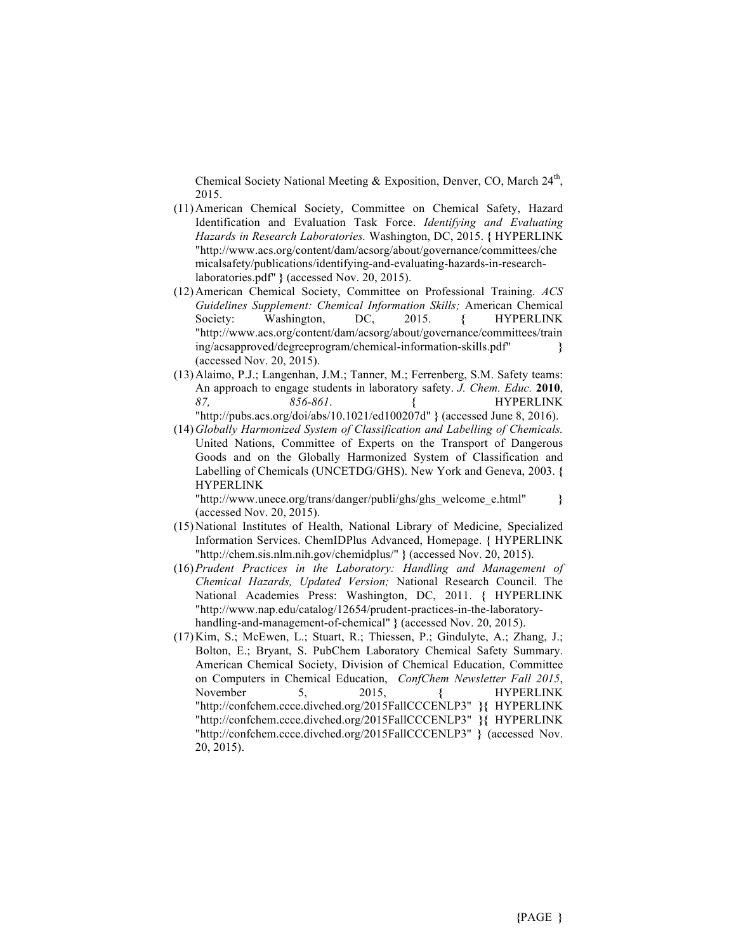Chemical Society National Meeting  $&$  Exposition, Denver, CO, March 24<sup>th</sup>, 2015.

- (11)American Chemical Society, Committee on Chemical Safety, Hazard Identification and Evaluation Task Force. *Identifying and Evaluating Hazards in Research Laboratories.* Washington, DC, 2015. **{** HYPERLINK "http://www.acs.org/content/dam/acsorg/about/governance/committees/che micalsafety/publications/identifying-and-evaluating-hazards-in-researchlaboratories.pdf" **}** (accessed Nov. 20, 2015).
- (12)American Chemical Society, Committee on Professional Training. *ACS Guidelines Supplement: Chemical Information Skills;* American Chemical Society: Washington, DC, 2015. **{** HYPERLINK "http://www.acs.org/content/dam/acsorg/about/governance/committees/train ing/acsapproved/degreeprogram/chemical-information-skills.pdf" **}** (accessed Nov. 20, 2015).
- (13)Alaimo, P.J.; Langenhan, J.M.; Tanner, M.; Ferrenberg, S.M. Safety teams: An approach to engage students in laboratory safety. *J. Chem. Educ.* **2010**, *87, 856-861*. **{** HYPERLINK "http://pubs.acs.org/doi/abs/10.1021/ed100207d" **}** (accessed June 8, 2016).
- (14)*Globally Harmonized System of Classification and Labelling of Chemicals.* United Nations, Committee of Experts on the Transport of Dangerous Goods and on the Globally Harmonized System of Classification and Labelling of Chemicals (UNCETDG/GHS). New York and Geneva, 2003. **{** HYPERLINK

"http://www.unece.org/trans/danger/publi/ghs/ghs\_welcome\_e.html" **}** (accessed Nov. 20, 2015).

- (15)National Institutes of Health, National Library of Medicine, Specialized Information Services. ChemIDPlus Advanced, Homepage. **{** HYPERLINK "http://chem.sis.nlm.nih.gov/chemidplus/" **}** (accessed Nov. 20, 2015).
- (16)*Prudent Practices in the Laboratory: Handling and Management of Chemical Hazards, Updated Version;* National Research Council. The National Academies Press: Washington, DC, 2011. **{** HYPERLINK "http://www.nap.edu/catalog/12654/prudent-practices-in-the-laboratoryhandling-and-management-of-chemical" **}** (accessed Nov. 20, 2015).
- (17)Kim, S.; McEwen, L.; Stuart, R.; Thiessen, P.; Gindulyte, A.; Zhang, J.; Bolton, E.; Bryant, S. PubChem Laboratory Chemical Safety Summary. American Chemical Society, Division of Chemical Education, Committee on Computers in Chemical Education, *ConfChem Newsletter Fall 2015*, November 5, 2015, **{** HYPERLINK "http://confchem.ccce.divched.org/2015FallCCCENLP3" **}{** HYPERLINK "http://confchem.ccce.divched.org/2015FallCCCENLP3" **}{** HYPERLINK "http://confchem.ccce.divched.org/2015FallCCCENLP3" **}** (accessed Nov. 20, 2015).